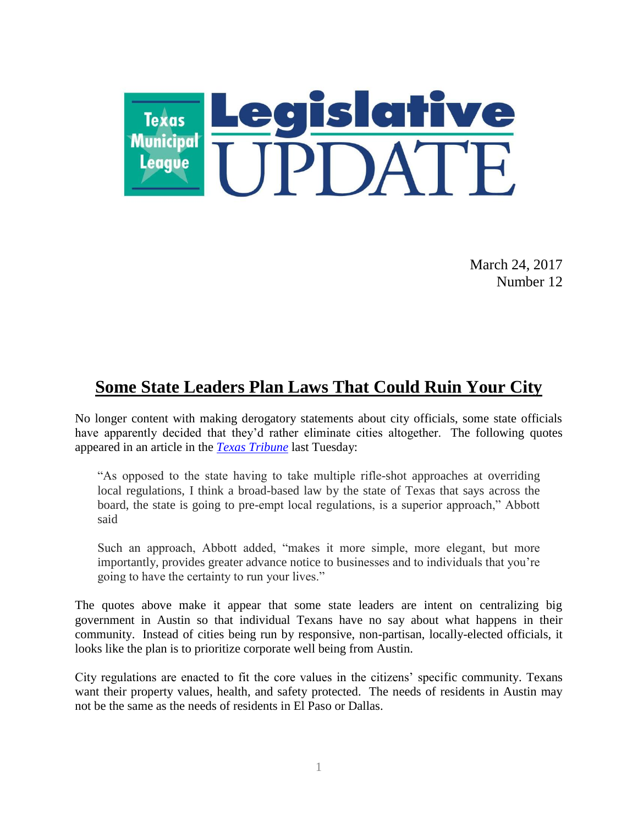

March 24, 2017 Number 12

### **Some State Leaders Plan Laws That Could Ruin Your City**

No longer content with making derogatory statements about city officials, some state officials have apparently decided that they'd rather eliminate cities altogether. The following quotes appeared in an article in the *[Texas Tribune](https://www.texastribune.org/2017/03/21/abbott-supports-broad-based-law-pre-empting-local-regulations/)* last Tuesday:

"As opposed to the state having to take multiple rifle-shot approaches at overriding local regulations, I think a broad-based law by the state of Texas that says across the board, the state is going to pre-empt local regulations, is a superior approach," Abbott said

Such an approach, Abbott added, "makes it more simple, more elegant, but more importantly, provides greater advance notice to businesses and to individuals that you're going to have the certainty to run your lives."

The quotes above make it appear that some state leaders are intent on centralizing big government in Austin so that individual Texans have no say about what happens in their community. Instead of cities being run by responsive, non-partisan, locally-elected officials, it looks like the plan is to prioritize corporate well being from Austin.

City regulations are enacted to fit the core values in the citizens' specific community. Texans want their property values, health, and safety protected. The needs of residents in Austin may not be the same as the needs of residents in El Paso or Dallas.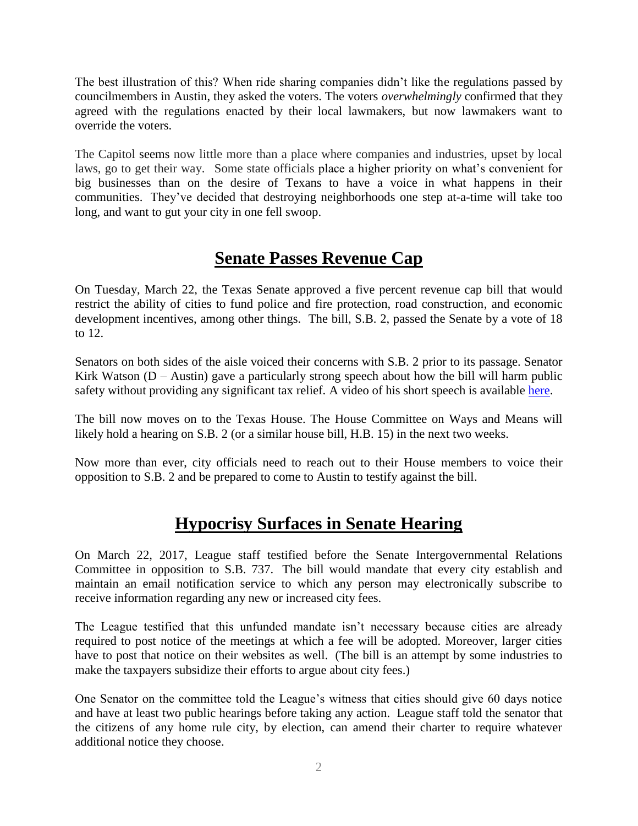The best illustration of this? When ride sharing companies didn't like the regulations passed by councilmembers in Austin, they asked the voters. The voters *overwhelmingly* confirmed that they agreed with the regulations enacted by their local lawmakers, but now lawmakers want to override the voters.

The Capitol seems now little more than a place where companies and industries, upset by local laws, go to get their way. Some state officials place a higher priority on what's convenient for big businesses than on the desire of Texans to have a voice in what happens in their communities. They've decided that destroying neighborhoods one step at-a-time will take too long, and want to gut your city in one fell swoop.

### **Senate Passes Revenue Cap**

On Tuesday, March 22, the Texas Senate approved a five percent revenue cap bill that would restrict the ability of cities to fund police and fire protection, road construction, and economic development incentives, among other things. The bill, S.B. 2, passed the Senate by a vote of 18 to 12.

Senators on both sides of the aisle voiced their concerns with S.B. 2 prior to its passage. Senator Kirk Watson  $(D -$  Austin) gave a particularly strong speech about how the bill will harm public safety without providing any significant tax relief. A video of his short speech is available [here.](https://www.youtube.com/watch?v=fB3sNmKLAP0&feature=youtu.be)

The bill now moves on to the Texas House. The House Committee on Ways and Means will likely hold a hearing on S.B. 2 (or a similar house bill, H.B. 15) in the next two weeks.

Now more than ever, city officials need to reach out to their House members to voice their opposition to S.B. 2 and be prepared to come to Austin to testify against the bill.

### **Hypocrisy Surfaces in Senate Hearing**

On March 22, 2017, League staff testified before the Senate Intergovernmental Relations Committee in opposition to S.B. 737. The bill would mandate that every city establish and maintain an email notification service to which any person may electronically subscribe to receive information regarding any new or increased city fees.

The League testified that this unfunded mandate isn't necessary because cities are already required to post notice of the meetings at which a fee will be adopted. Moreover, larger cities have to post that notice on their websites as well. (The bill is an attempt by some industries to make the taxpayers subsidize their efforts to argue about city fees.)

One Senator on the committee told the League's witness that cities should give 60 days notice and have at least two public hearings before taking any action. League staff told the senator that the citizens of any home rule city, by election, can amend their charter to require whatever additional notice they choose.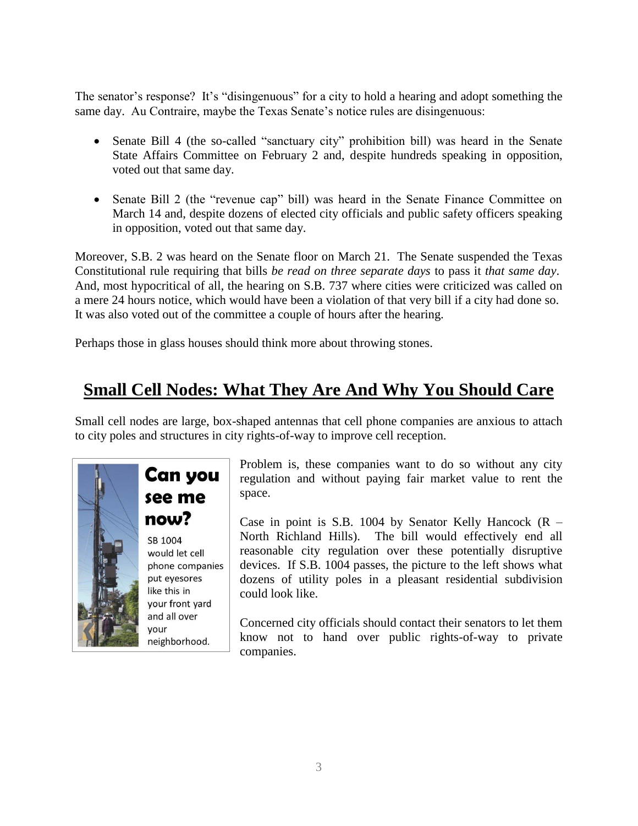The senator's response? It's "disingenuous" for a city to hold a hearing and adopt something the same day. Au Contraire, maybe the Texas Senate's notice rules are disingenuous:

- Senate Bill 4 (the so-called "sanctuary city" prohibition bill) was heard in the Senate State Affairs Committee on February 2 and, despite hundreds speaking in opposition, voted out that same day.
- Senate Bill 2 (the "revenue cap" bill) was heard in the Senate Finance Committee on March 14 and, despite dozens of elected city officials and public safety officers speaking in opposition, voted out that same day.

Moreover, S.B. 2 was heard on the Senate floor on March 21. The Senate suspended the Texas Constitutional rule requiring that bills *be read on three separate days* to pass it *that same day*. And, most hypocritical of all, the hearing on S.B. 737 where cities were criticized was called on a mere 24 hours notice, which would have been a violation of that very bill if a city had done so. It was also voted out of the committee a couple of hours after the hearing.

Perhaps those in glass houses should think more about throwing stones.

# **Small Cell Nodes: What They Are And Why You Should Care**

Small cell nodes are large, box-shaped antennas that cell phone companies are anxious to attach to city poles and structures in city rights-of-way to improve cell reception.



# **Can you** see me now?

SB 1004 would let cell phone companies put eyesores like this in your front yard and all over vour neighborhood.

Problem is, these companies want to do so without any city regulation and without paying fair market value to rent the space.

Case in point is S.B. 1004 by Senator Kelly Hancock  $(R -$ North Richland Hills). The bill would effectively end all reasonable city regulation over these potentially disruptive devices. If S.B. 1004 passes, the picture to the left shows what dozens of utility poles in a pleasant residential subdivision could look like.

Concerned city officials should contact their senators to let them know not to hand over public rights-of-way to private companies.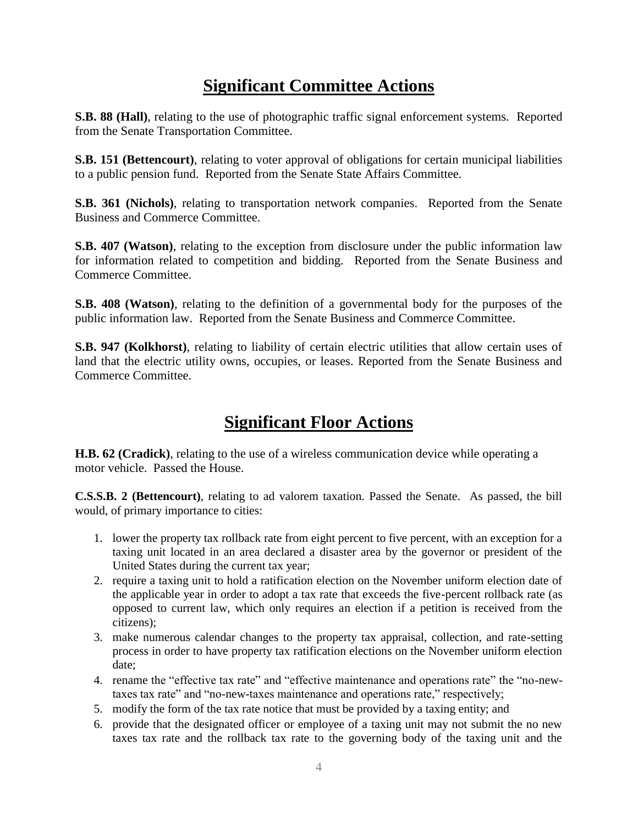# **Significant Committee Actions**

**S.B. 88 (Hall)**, relating to the use of photographic traffic signal enforcement systems. Reported from the Senate Transportation Committee.

**S.B. 151 (Bettencourt)**, relating to voter approval of obligations for certain municipal liabilities to a public pension fund. Reported from the Senate State Affairs Committee.

**S.B. 361 (Nichols)**, relating to transportation network companies. Reported from the Senate Business and Commerce Committee.

**S.B. 407 (Watson)**, relating to the exception from disclosure under the public information law for information related to competition and bidding. Reported from the Senate Business and Commerce Committee.

**S.B. 408 (Watson)**, relating to the definition of a governmental body for the purposes of the public information law. Reported from the Senate Business and Commerce Committee.

**S.B. 947 (Kolkhorst)**, relating to liability of certain electric utilities that allow certain uses of land that the electric utility owns, occupies, or leases. Reported from the Senate Business and Commerce Committee.

# **Significant Floor Actions**

**H.B. 62 (Cradick)**, relating to the use of a wireless communication device while operating a motor vehicle. Passed the House.

**C.S.S.B. 2 (Bettencourt)**, relating to ad valorem taxation. Passed the Senate. As passed, the bill would, of primary importance to cities:

- 1. lower the property tax rollback rate from eight percent to five percent, with an exception for a taxing unit located in an area declared a disaster area by the governor or president of the United States during the current tax year;
- 2. require a taxing unit to hold a ratification election on the November uniform election date of the applicable year in order to adopt a tax rate that exceeds the five-percent rollback rate (as opposed to current law, which only requires an election if a petition is received from the citizens);
- 3. make numerous calendar changes to the property tax appraisal, collection, and rate-setting process in order to have property tax ratification elections on the November uniform election date;
- 4. rename the "effective tax rate" and "effective maintenance and operations rate" the "no-newtaxes tax rate" and "no-new-taxes maintenance and operations rate," respectively;
- 5. modify the form of the tax rate notice that must be provided by a taxing entity; and
- 6. provide that the designated officer or employee of a taxing unit may not submit the no new taxes tax rate and the rollback tax rate to the governing body of the taxing unit and the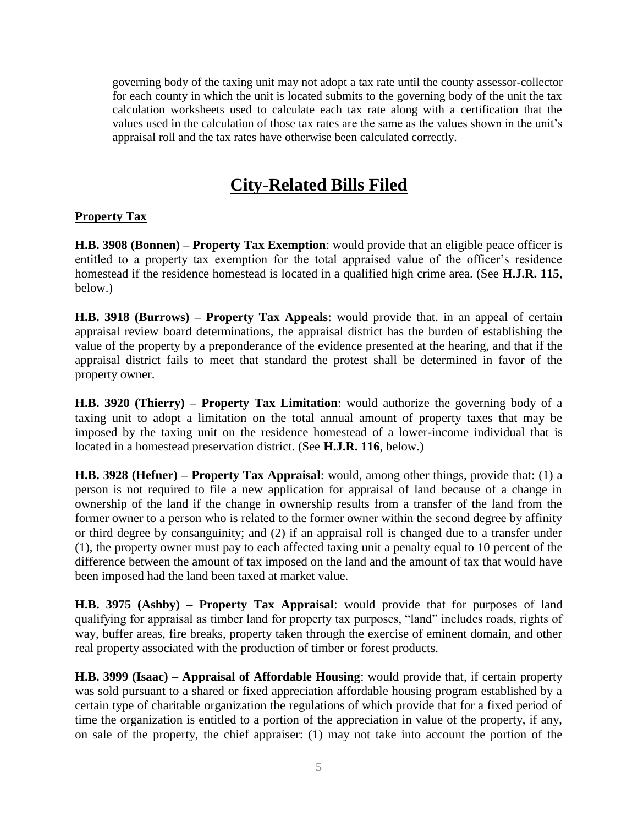governing body of the taxing unit may not adopt a tax rate until the county assessor-collector for each county in which the unit is located submits to the governing body of the unit the tax calculation worksheets used to calculate each tax rate along with a certification that the values used in the calculation of those tax rates are the same as the values shown in the unit's appraisal roll and the tax rates have otherwise been calculated correctly.

### **City-Related Bills Filed**

#### **Property Tax**

**H.B. 3908 (Bonnen) – Property Tax Exemption**: would provide that an eligible peace officer is entitled to a property tax exemption for the total appraised value of the officer's residence homestead if the residence homestead is located in a qualified high crime area. (See **H.J.R. 115**, below.)

**H.B. 3918 (Burrows) – Property Tax Appeals**: would provide that. in an appeal of certain appraisal review board determinations, the appraisal district has the burden of establishing the value of the property by a preponderance of the evidence presented at the hearing, and that if the appraisal district fails to meet that standard the protest shall be determined in favor of the property owner.

**H.B. 3920 (Thierry) – Property Tax Limitation**: would authorize the governing body of a taxing unit to adopt a limitation on the total annual amount of property taxes that may be imposed by the taxing unit on the residence homestead of a lower-income individual that is located in a homestead preservation district. (See **H.J.R. 116**, below.)

**H.B. 3928 (Hefner) – Property Tax Appraisal**: would, among other things, provide that: (1) a person is not required to file a new application for appraisal of land because of a change in ownership of the land if the change in ownership results from a transfer of the land from the former owner to a person who is related to the former owner within the second degree by affinity or third degree by consanguinity; and (2) if an appraisal roll is changed due to a transfer under (1), the property owner must pay to each affected taxing unit a penalty equal to 10 percent of the difference between the amount of tax imposed on the land and the amount of tax that would have been imposed had the land been taxed at market value.

**H.B. 3975 (Ashby) – Property Tax Appraisal**: would provide that for purposes of land qualifying for appraisal as timber land for property tax purposes, "land" includes roads, rights of way, buffer areas, fire breaks, property taken through the exercise of eminent domain, and other real property associated with the production of timber or forest products.

**H.B. 3999 (Isaac) – Appraisal of Affordable Housing**: would provide that, if certain property was sold pursuant to a shared or fixed appreciation affordable housing program established by a certain type of charitable organization the regulations of which provide that for a fixed period of time the organization is entitled to a portion of the appreciation in value of the property, if any, on sale of the property, the chief appraiser: (1) may not take into account the portion of the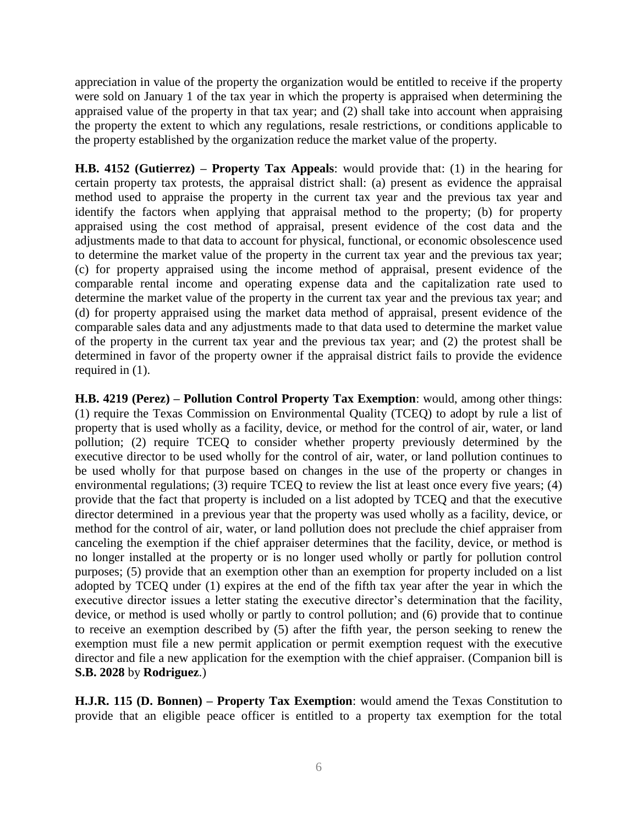appreciation in value of the property the organization would be entitled to receive if the property were sold on January 1 of the tax year in which the property is appraised when determining the appraised value of the property in that tax year; and (2) shall take into account when appraising the property the extent to which any regulations, resale restrictions, or conditions applicable to the property established by the organization reduce the market value of the property.

**H.B. 4152 (Gutierrez) – Property Tax Appeals**: would provide that: (1) in the hearing for certain property tax protests, the appraisal district shall: (a) present as evidence the appraisal method used to appraise the property in the current tax year and the previous tax year and identify the factors when applying that appraisal method to the property; (b) for property appraised using the cost method of appraisal, present evidence of the cost data and the adjustments made to that data to account for physical, functional, or economic obsolescence used to determine the market value of the property in the current tax year and the previous tax year; (c) for property appraised using the income method of appraisal, present evidence of the comparable rental income and operating expense data and the capitalization rate used to determine the market value of the property in the current tax year and the previous tax year; and (d) for property appraised using the market data method of appraisal, present evidence of the comparable sales data and any adjustments made to that data used to determine the market value of the property in the current tax year and the previous tax year; and (2) the protest shall be determined in favor of the property owner if the appraisal district fails to provide the evidence required in (1).

**H.B. 4219 (Perez) – Pollution Control Property Tax Exemption**: would, among other things: (1) require the Texas Commission on Environmental Quality (TCEQ) to adopt by rule a list of property that is used wholly as a facility, device, or method for the control of air, water, or land pollution; (2) require TCEQ to consider whether property previously determined by the executive director to be used wholly for the control of air, water, or land pollution continues to be used wholly for that purpose based on changes in the use of the property or changes in environmental regulations; (3) require TCEQ to review the list at least once every five years; (4) provide that the fact that property is included on a list adopted by TCEQ and that the executive director determined in a previous year that the property was used wholly as a facility, device, or method for the control of air, water, or land pollution does not preclude the chief appraiser from canceling the exemption if the chief appraiser determines that the facility, device, or method is no longer installed at the property or is no longer used wholly or partly for pollution control purposes; (5) provide that an exemption other than an exemption for property included on a list adopted by TCEQ under (1) expires at the end of the fifth tax year after the year in which the executive director issues a letter stating the executive director's determination that the facility, device, or method is used wholly or partly to control pollution; and (6) provide that to continue to receive an exemption described by (5) after the fifth year, the person seeking to renew the exemption must file a new permit application or permit exemption request with the executive director and file a new application for the exemption with the chief appraiser. (Companion bill is **S.B. 2028** by **Rodriguez**.)

**H.J.R. 115 (D. Bonnen) – Property Tax Exemption**: would amend the Texas Constitution to provide that an eligible peace officer is entitled to a property tax exemption for the total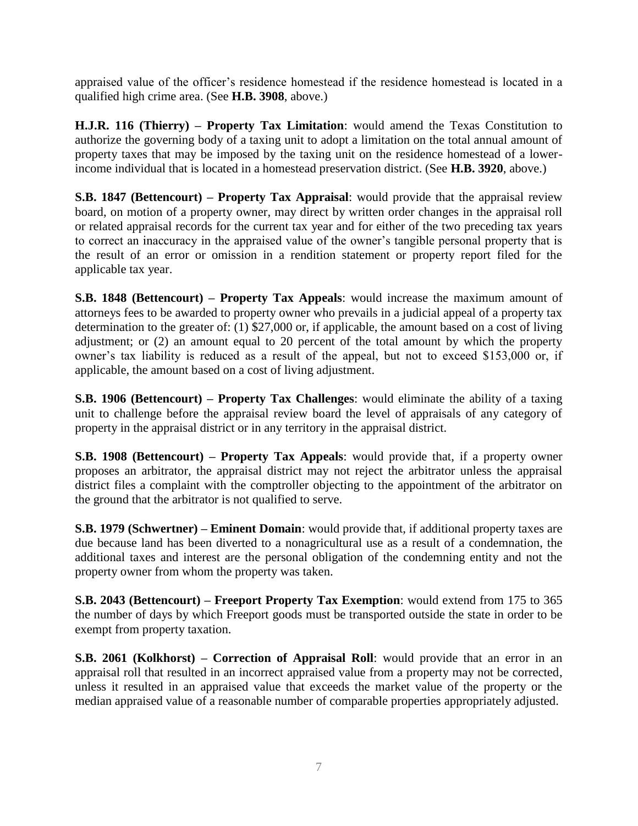appraised value of the officer's residence homestead if the residence homestead is located in a qualified high crime area. (See **H.B. 3908**, above.)

**H.J.R. 116 (Thierry) – Property Tax Limitation**: would amend the Texas Constitution to authorize the governing body of a taxing unit to adopt a limitation on the total annual amount of property taxes that may be imposed by the taxing unit on the residence homestead of a lowerincome individual that is located in a homestead preservation district. (See **H.B. 3920**, above.)

**S.B. 1847 (Bettencourt) – Property Tax Appraisal:** would provide that the appraisal review board, on motion of a property owner, may direct by written order changes in the appraisal roll or related appraisal records for the current tax year and for either of the two preceding tax years to correct an inaccuracy in the appraised value of the owner's tangible personal property that is the result of an error or omission in a rendition statement or property report filed for the applicable tax year.

**S.B. 1848 (Bettencourt) – Property Tax Appeals**: would increase the maximum amount of attorneys fees to be awarded to property owner who prevails in a judicial appeal of a property tax determination to the greater of: (1) \$27,000 or, if applicable, the amount based on a cost of living adjustment; or (2) an amount equal to 20 percent of the total amount by which the property owner's tax liability is reduced as a result of the appeal, but not to exceed \$153,000 or, if applicable, the amount based on a cost of living adjustment.

**S.B. 1906 (Bettencourt) – Property Tax Challenges**: would eliminate the ability of a taxing unit to challenge before the appraisal review board the level of appraisals of any category of property in the appraisal district or in any territory in the appraisal district.

**S.B. 1908 (Bettencourt) – Property Tax Appeals**: would provide that, if a property owner proposes an arbitrator, the appraisal district may not reject the arbitrator unless the appraisal district files a complaint with the comptroller objecting to the appointment of the arbitrator on the ground that the arbitrator is not qualified to serve.

**S.B. 1979 (Schwertner) – Eminent Domain**: would provide that, if additional property taxes are due because land has been diverted to a nonagricultural use as a result of a condemnation, the additional taxes and interest are the personal obligation of the condemning entity and not the property owner from whom the property was taken.

**S.B. 2043 (Bettencourt) – Freeport Property Tax Exemption**: would extend from 175 to 365 the number of days by which Freeport goods must be transported outside the state in order to be exempt from property taxation.

**S.B. 2061 (Kolkhorst) – Correction of Appraisal Roll**: would provide that an error in an appraisal roll that resulted in an incorrect appraised value from a property may not be corrected, unless it resulted in an appraised value that exceeds the market value of the property or the median appraised value of a reasonable number of comparable properties appropriately adjusted.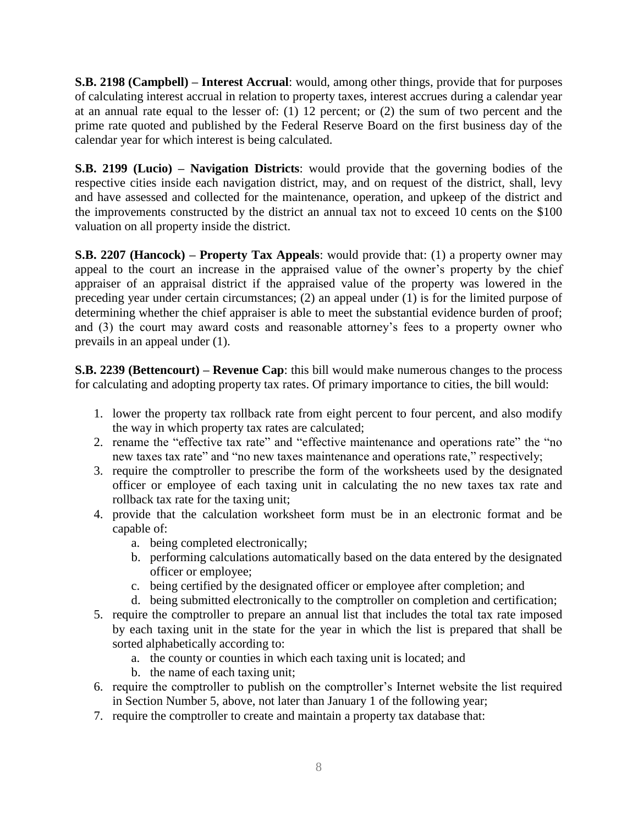**S.B. 2198 (Campbell) – Interest Accrual**: would, among other things, provide that for purposes of calculating interest accrual in relation to property taxes, interest accrues during a calendar year at an annual rate equal to the lesser of: (1) 12 percent; or (2) the sum of two percent and the prime rate quoted and published by the Federal Reserve Board on the first business day of the calendar year for which interest is being calculated.

**S.B. 2199 (Lucio) – Navigation Districts**: would provide that the governing bodies of the respective cities inside each navigation district, may, and on request of the district, shall, levy and have assessed and collected for the maintenance, operation, and upkeep of the district and the improvements constructed by the district an annual tax not to exceed 10 cents on the \$100 valuation on all property inside the district.

**S.B. 2207 (Hancock) – Property Tax Appeals:** would provide that: (1) a property owner may appeal to the court an increase in the appraised value of the owner's property by the chief appraiser of an appraisal district if the appraised value of the property was lowered in the preceding year under certain circumstances; (2) an appeal under (1) is for the limited purpose of determining whether the chief appraiser is able to meet the substantial evidence burden of proof; and (3) the court may award costs and reasonable attorney's fees to a property owner who prevails in an appeal under (1).

**S.B. 2239 (Bettencourt) – Revenue Cap**: this bill would make numerous changes to the process for calculating and adopting property tax rates. Of primary importance to cities, the bill would:

- 1. lower the property tax rollback rate from eight percent to four percent, and also modify the way in which property tax rates are calculated;
- 2. rename the "effective tax rate" and "effective maintenance and operations rate" the "no new taxes tax rate" and "no new taxes maintenance and operations rate," respectively;
- 3. require the comptroller to prescribe the form of the worksheets used by the designated officer or employee of each taxing unit in calculating the no new taxes tax rate and rollback tax rate for the taxing unit;
- 4. provide that the calculation worksheet form must be in an electronic format and be capable of:
	- a. being completed electronically;
	- b. performing calculations automatically based on the data entered by the designated officer or employee;
	- c. being certified by the designated officer or employee after completion; and
	- d. being submitted electronically to the comptroller on completion and certification;
- 5. require the comptroller to prepare an annual list that includes the total tax rate imposed by each taxing unit in the state for the year in which the list is prepared that shall be sorted alphabetically according to:
	- a. the county or counties in which each taxing unit is located; and
	- b. the name of each taxing unit;
- 6. require the comptroller to publish on the comptroller's Internet website the list required in Section Number 5, above, not later than January 1 of the following year;
- 7. require the comptroller to create and maintain a property tax database that: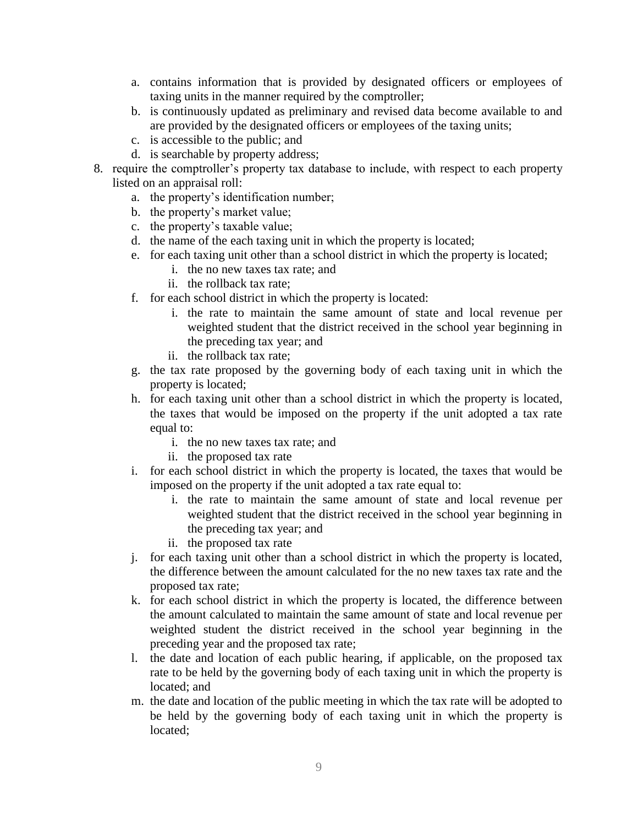- a. contains information that is provided by designated officers or employees of taxing units in the manner required by the comptroller;
- b. is continuously updated as preliminary and revised data become available to and are provided by the designated officers or employees of the taxing units;
- c. is accessible to the public; and
- d. is searchable by property address;
- 8. require the comptroller's property tax database to include, with respect to each property listed on an appraisal roll:
	- a. the property's identification number;
	- b. the property's market value;
	- c. the property's taxable value;
	- d. the name of the each taxing unit in which the property is located;
	- e. for each taxing unit other than a school district in which the property is located;
		- i. the no new taxes tax rate; and
		- ii. the rollback tax rate;
	- f. for each school district in which the property is located:
		- i. the rate to maintain the same amount of state and local revenue per weighted student that the district received in the school year beginning in the preceding tax year; and
		- ii. the rollback tax rate;
	- g. the tax rate proposed by the governing body of each taxing unit in which the property is located;
	- h. for each taxing unit other than a school district in which the property is located, the taxes that would be imposed on the property if the unit adopted a tax rate equal to:
		- i. the no new taxes tax rate; and
		- ii. the proposed tax rate
	- i. for each school district in which the property is located, the taxes that would be imposed on the property if the unit adopted a tax rate equal to:
		- i. the rate to maintain the same amount of state and local revenue per weighted student that the district received in the school year beginning in the preceding tax year; and
		- ii. the proposed tax rate
	- j. for each taxing unit other than a school district in which the property is located, the difference between the amount calculated for the no new taxes tax rate and the proposed tax rate;
	- k. for each school district in which the property is located, the difference between the amount calculated to maintain the same amount of state and local revenue per weighted student the district received in the school year beginning in the preceding year and the proposed tax rate;
	- l. the date and location of each public hearing, if applicable, on the proposed tax rate to be held by the governing body of each taxing unit in which the property is located; and
	- m. the date and location of the public meeting in which the tax rate will be adopted to be held by the governing body of each taxing unit in which the property is located;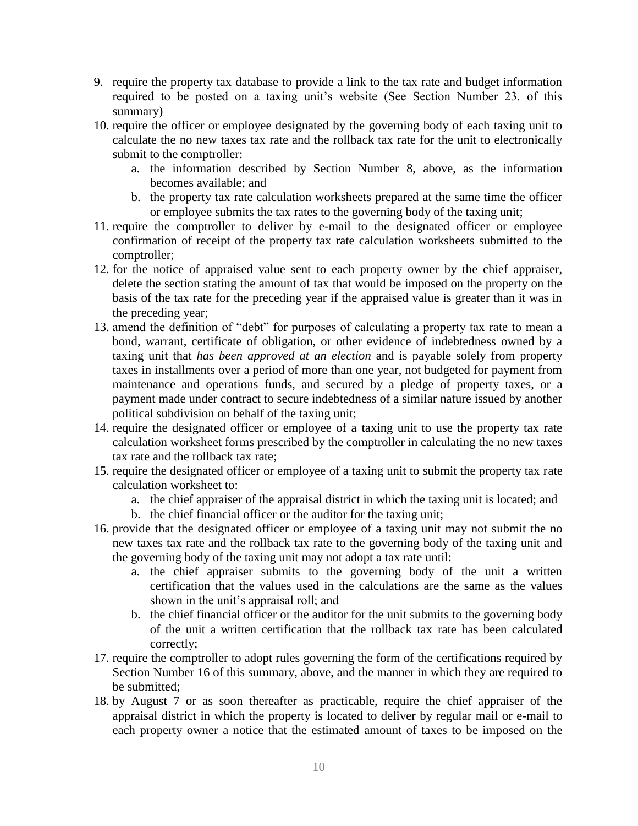- 9. require the property tax database to provide a link to the tax rate and budget information required to be posted on a taxing unit's website (See Section Number 23. of this summary)
- 10. require the officer or employee designated by the governing body of each taxing unit to calculate the no new taxes tax rate and the rollback tax rate for the unit to electronically submit to the comptroller:
	- a. the information described by Section Number 8, above, as the information becomes available; and
	- b. the property tax rate calculation worksheets prepared at the same time the officer or employee submits the tax rates to the governing body of the taxing unit;
- 11. require the comptroller to deliver by e-mail to the designated officer or employee confirmation of receipt of the property tax rate calculation worksheets submitted to the comptroller;
- 12. for the notice of appraised value sent to each property owner by the chief appraiser, delete the section stating the amount of tax that would be imposed on the property on the basis of the tax rate for the preceding year if the appraised value is greater than it was in the preceding year;
- 13. amend the definition of "debt" for purposes of calculating a property tax rate to mean a bond, warrant, certificate of obligation, or other evidence of indebtedness owned by a taxing unit that *has been approved at an election* and is payable solely from property taxes in installments over a period of more than one year, not budgeted for payment from maintenance and operations funds, and secured by a pledge of property taxes, or a payment made under contract to secure indebtedness of a similar nature issued by another political subdivision on behalf of the taxing unit;
- 14. require the designated officer or employee of a taxing unit to use the property tax rate calculation worksheet forms prescribed by the comptroller in calculating the no new taxes tax rate and the rollback tax rate;
- 15. require the designated officer or employee of a taxing unit to submit the property tax rate calculation worksheet to:
	- a. the chief appraiser of the appraisal district in which the taxing unit is located; and
	- b. the chief financial officer or the auditor for the taxing unit;
- 16. provide that the designated officer or employee of a taxing unit may not submit the no new taxes tax rate and the rollback tax rate to the governing body of the taxing unit and the governing body of the taxing unit may not adopt a tax rate until:
	- a. the chief appraiser submits to the governing body of the unit a written certification that the values used in the calculations are the same as the values shown in the unit's appraisal roll; and
	- b. the chief financial officer or the auditor for the unit submits to the governing body of the unit a written certification that the rollback tax rate has been calculated correctly;
- 17. require the comptroller to adopt rules governing the form of the certifications required by Section Number 16 of this summary, above, and the manner in which they are required to be submitted;
- 18. by August 7 or as soon thereafter as practicable, require the chief appraiser of the appraisal district in which the property is located to deliver by regular mail or e-mail to each property owner a notice that the estimated amount of taxes to be imposed on the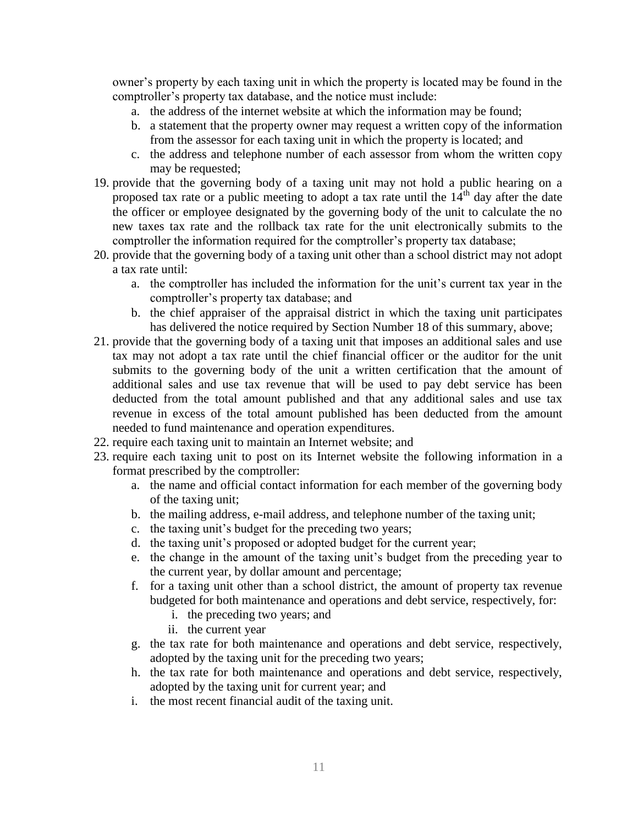owner's property by each taxing unit in which the property is located may be found in the comptroller's property tax database, and the notice must include:

- a. the address of the internet website at which the information may be found;
- b. a statement that the property owner may request a written copy of the information from the assessor for each taxing unit in which the property is located; and
- c. the address and telephone number of each assessor from whom the written copy may be requested;
- 19. provide that the governing body of a taxing unit may not hold a public hearing on a proposed tax rate or a public meeting to adopt a tax rate until the  $14<sup>th</sup>$  day after the date the officer or employee designated by the governing body of the unit to calculate the no new taxes tax rate and the rollback tax rate for the unit electronically submits to the comptroller the information required for the comptroller's property tax database;
- 20. provide that the governing body of a taxing unit other than a school district may not adopt a tax rate until:
	- a. the comptroller has included the information for the unit's current tax year in the comptroller's property tax database; and
	- b. the chief appraiser of the appraisal district in which the taxing unit participates has delivered the notice required by Section Number 18 of this summary, above;
- 21. provide that the governing body of a taxing unit that imposes an additional sales and use tax may not adopt a tax rate until the chief financial officer or the auditor for the unit submits to the governing body of the unit a written certification that the amount of additional sales and use tax revenue that will be used to pay debt service has been deducted from the total amount published and that any additional sales and use tax revenue in excess of the total amount published has been deducted from the amount needed to fund maintenance and operation expenditures.
- 22. require each taxing unit to maintain an Internet website; and
- 23. require each taxing unit to post on its Internet website the following information in a format prescribed by the comptroller:
	- a. the name and official contact information for each member of the governing body of the taxing unit;
	- b. the mailing address, e-mail address, and telephone number of the taxing unit;
	- c. the taxing unit's budget for the preceding two years;
	- d. the taxing unit's proposed or adopted budget for the current year;
	- e. the change in the amount of the taxing unit's budget from the preceding year to the current year, by dollar amount and percentage;
	- f. for a taxing unit other than a school district, the amount of property tax revenue budgeted for both maintenance and operations and debt service, respectively, for:
		- i. the preceding two years; and
		- ii. the current year
	- g. the tax rate for both maintenance and operations and debt service, respectively, adopted by the taxing unit for the preceding two years;
	- h. the tax rate for both maintenance and operations and debt service, respectively, adopted by the taxing unit for current year; and
	- i. the most recent financial audit of the taxing unit.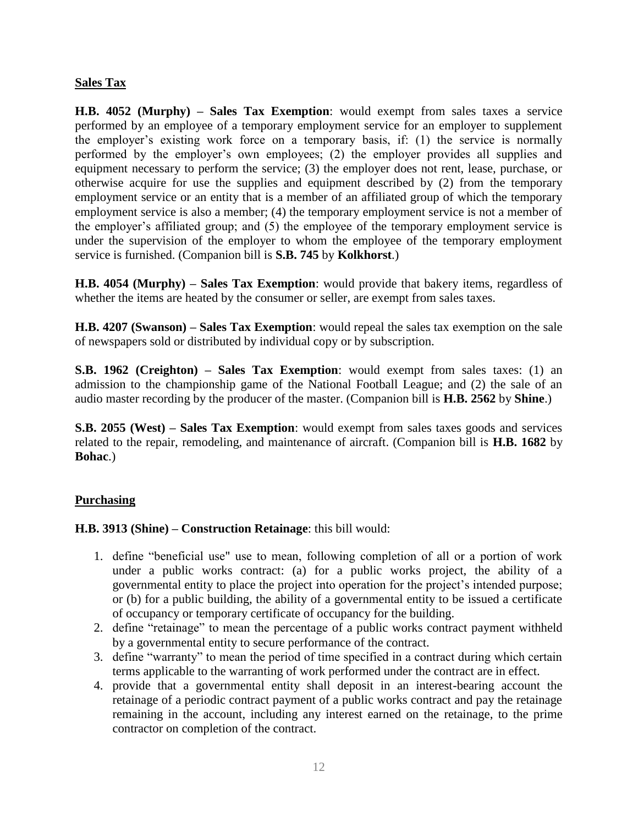#### **Sales Tax**

**H.B. 4052 (Murphy) – Sales Tax Exemption**: would exempt from sales taxes a service performed by an employee of a temporary employment service for an employer to supplement the employer's existing work force on a temporary basis, if: (1) the service is normally performed by the employer's own employees; (2) the employer provides all supplies and equipment necessary to perform the service; (3) the employer does not rent, lease, purchase, or otherwise acquire for use the supplies and equipment described by (2) from the temporary employment service or an entity that is a member of an affiliated group of which the temporary employment service is also a member; (4) the temporary employment service is not a member of the employer's affiliated group; and (5) the employee of the temporary employment service is under the supervision of the employer to whom the employee of the temporary employment service is furnished. (Companion bill is **S.B. 745** by **Kolkhorst**.)

**H.B. 4054 (Murphy) – Sales Tax Exemption**: would provide that bakery items, regardless of whether the items are heated by the consumer or seller, are exempt from sales taxes.

**H.B. 4207 (Swanson) – Sales Tax Exemption**: would repeal the sales tax exemption on the sale of newspapers sold or distributed by individual copy or by subscription.

**S.B. 1962 (Creighton) – Sales Tax Exemption**: would exempt from sales taxes: (1) an admission to the championship game of the National Football League; and (2) the sale of an audio master recording by the producer of the master. (Companion bill is **H.B. 2562** by **Shine**.)

**S.B. 2055 (West) – Sales Tax Exemption**: would exempt from sales taxes goods and services related to the repair, remodeling, and maintenance of aircraft. (Companion bill is **H.B. 1682** by **Bohac**.)

#### **Purchasing**

#### **H.B. 3913 (Shine) – Construction Retainage**: this bill would:

- 1. define "beneficial use" use to mean, following completion of all or a portion of work under a public works contract: (a) for a public works project, the ability of a governmental entity to place the project into operation for the project's intended purpose; or (b) for a public building, the ability of a governmental entity to be issued a certificate of occupancy or temporary certificate of occupancy for the building.
- 2. define "retainage" to mean the percentage of a public works contract payment withheld by a governmental entity to secure performance of the contract.
- 3. define "warranty" to mean the period of time specified in a contract during which certain terms applicable to the warranting of work performed under the contract are in effect.
- 4. provide that a governmental entity shall deposit in an interest-bearing account the retainage of a periodic contract payment of a public works contract and pay the retainage remaining in the account, including any interest earned on the retainage, to the prime contractor on completion of the contract.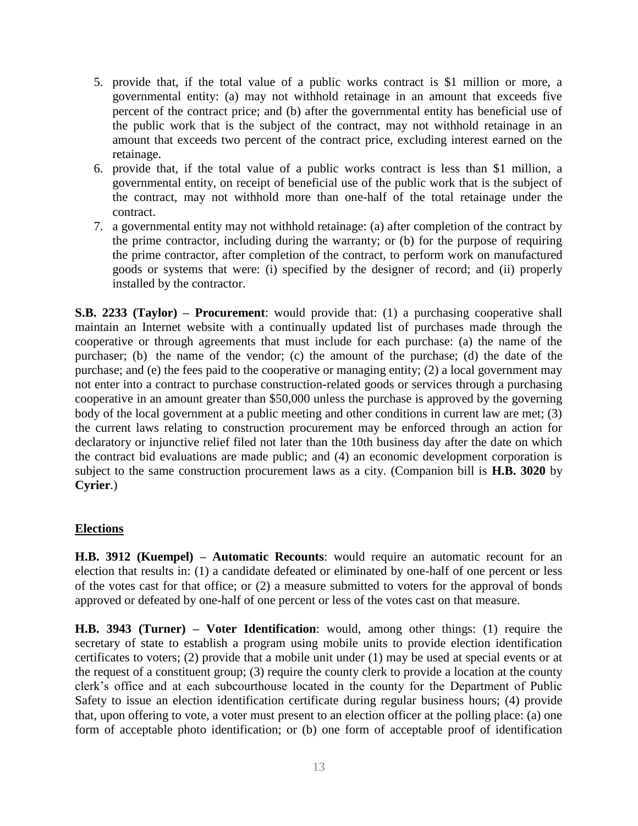- 5. provide that, if the total value of a public works contract is \$1 million or more, a governmental entity: (a) may not withhold retainage in an amount that exceeds five percent of the contract price; and (b) after the governmental entity has beneficial use of the public work that is the subject of the contract, may not withhold retainage in an amount that exceeds two percent of the contract price, excluding interest earned on the retainage.
- 6. provide that, if the total value of a public works contract is less than \$1 million, a governmental entity, on receipt of beneficial use of the public work that is the subject of the contract, may not withhold more than one-half of the total retainage under the contract.
- 7. a governmental entity may not withhold retainage: (a) after completion of the contract by the prime contractor, including during the warranty; or (b) for the purpose of requiring the prime contractor, after completion of the contract, to perform work on manufactured goods or systems that were: (i) specified by the designer of record; and (ii) properly installed by the contractor.

**S.B. 2233 (Taylor) – Procurement**: would provide that: (1) a purchasing cooperative shall maintain an Internet website with a continually updated list of purchases made through the cooperative or through agreements that must include for each purchase: (a) the name of the purchaser; (b) the name of the vendor; (c) the amount of the purchase; (d) the date of the purchase; and (e) the fees paid to the cooperative or managing entity; (2) a local government may not enter into a contract to purchase construction-related goods or services through a purchasing cooperative in an amount greater than \$50,000 unless the purchase is approved by the governing body of the local government at a public meeting and other conditions in current law are met; (3) the current laws relating to construction procurement may be enforced through an action for declaratory or injunctive relief filed not later than the 10th business day after the date on which the contract bid evaluations are made public; and (4) an economic development corporation is subject to the same construction procurement laws as a city. (Companion bill is **H.B. 3020** by **Cyrier**.)

#### **Elections**

**H.B. 3912 (Kuempel) – Automatic Recounts**: would require an automatic recount for an election that results in: (1) a candidate defeated or eliminated by one-half of one percent or less of the votes cast for that office; or (2) a measure submitted to voters for the approval of bonds approved or defeated by one-half of one percent or less of the votes cast on that measure.

**H.B. 3943 (Turner) – Voter Identification**: would, among other things: (1) require the secretary of state to establish a program using mobile units to provide election identification certificates to voters; (2) provide that a mobile unit under (1) may be used at special events or at the request of a constituent group; (3) require the county clerk to provide a location at the county clerk's office and at each subcourthouse located in the county for the Department of Public Safety to issue an election identification certificate during regular business hours; (4) provide that, upon offering to vote, a voter must present to an election officer at the polling place: (a) one form of acceptable photo identification; or (b) one form of acceptable proof of identification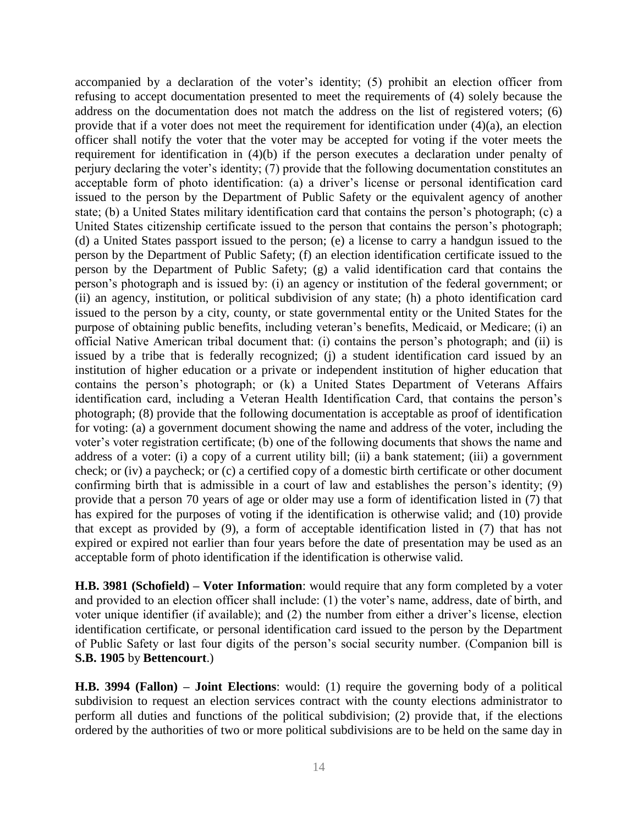accompanied by a declaration of the voter's identity; (5) prohibit an election officer from refusing to accept documentation presented to meet the requirements of (4) solely because the address on the documentation does not match the address on the list of registered voters; (6) provide that if a voter does not meet the requirement for identification under (4)(a), an election officer shall notify the voter that the voter may be accepted for voting if the voter meets the requirement for identification in (4)(b) if the person executes a declaration under penalty of perjury declaring the voter's identity; (7) provide that the following documentation constitutes an acceptable form of photo identification: (a) a driver's license or personal identification card issued to the person by the Department of Public Safety or the equivalent agency of another state; (b) a United States military identification card that contains the person's photograph; (c) a United States citizenship certificate issued to the person that contains the person's photograph; (d) a United States passport issued to the person; (e) a license to carry a handgun issued to the person by the Department of Public Safety; (f) an election identification certificate issued to the person by the Department of Public Safety; (g) a valid identification card that contains the person's photograph and is issued by: (i) an agency or institution of the federal government; or (ii) an agency, institution, or political subdivision of any state; (h) a photo identification card issued to the person by a city, county, or state governmental entity or the United States for the purpose of obtaining public benefits, including veteran's benefits, Medicaid, or Medicare; (i) an official Native American tribal document that: (i) contains the person's photograph; and (ii) is issued by a tribe that is federally recognized; (j) a student identification card issued by an institution of higher education or a private or independent institution of higher education that contains the person's photograph; or (k) a United States Department of Veterans Affairs identification card, including a Veteran Health Identification Card, that contains the person's photograph; (8) provide that the following documentation is acceptable as proof of identification for voting: (a) a government document showing the name and address of the voter, including the voter's voter registration certificate; (b) one of the following documents that shows the name and address of a voter: (i) a copy of a current utility bill; (ii) a bank statement; (iii) a government check; or (iv) a paycheck; or (c) a certified copy of a domestic birth certificate or other document confirming birth that is admissible in a court of law and establishes the person's identity; (9) provide that a person 70 years of age or older may use a form of identification listed in (7) that has expired for the purposes of voting if the identification is otherwise valid; and (10) provide that except as provided by (9), a form of acceptable identification listed in (7) that has not expired or expired not earlier than four years before the date of presentation may be used as an acceptable form of photo identification if the identification is otherwise valid.

**H.B. 3981 (Schofield) – Voter Information**: would require that any form completed by a voter and provided to an election officer shall include: (1) the voter's name, address, date of birth, and voter unique identifier (if available); and (2) the number from either a driver's license, election identification certificate, or personal identification card issued to the person by the Department of Public Safety or last four digits of the person's social security number. (Companion bill is **S.B. 1905** by **Bettencourt**.)

**H.B. 3994 (Fallon) – Joint Elections**: would: (1) require the governing body of a political subdivision to request an election services contract with the county elections administrator to perform all duties and functions of the political subdivision; (2) provide that, if the elections ordered by the authorities of two or more political subdivisions are to be held on the same day in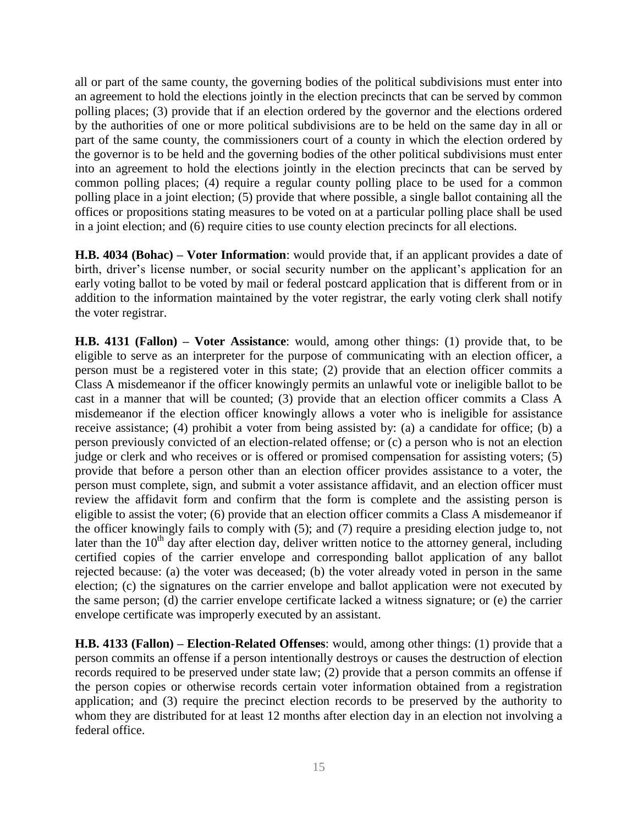all or part of the same county, the governing bodies of the political subdivisions must enter into an agreement to hold the elections jointly in the election precincts that can be served by common polling places; (3) provide that if an election ordered by the governor and the elections ordered by the authorities of one or more political subdivisions are to be held on the same day in all or part of the same county, the commissioners court of a county in which the election ordered by the governor is to be held and the governing bodies of the other political subdivisions must enter into an agreement to hold the elections jointly in the election precincts that can be served by common polling places; (4) require a regular county polling place to be used for a common polling place in a joint election; (5) provide that where possible, a single ballot containing all the offices or propositions stating measures to be voted on at a particular polling place shall be used in a joint election; and (6) require cities to use county election precincts for all elections.

**H.B. 4034 (Bohac) – Voter Information**: would provide that, if an applicant provides a date of birth, driver's license number, or social security number on the applicant's application for an early voting ballot to be voted by mail or federal postcard application that is different from or in addition to the information maintained by the voter registrar, the early voting clerk shall notify the voter registrar.

**H.B. 4131 (Fallon) – Voter Assistance**: would, among other things: (1) provide that, to be eligible to serve as an interpreter for the purpose of communicating with an election officer, a person must be a registered voter in this state; (2) provide that an election officer commits a Class A misdemeanor if the officer knowingly permits an unlawful vote or ineligible ballot to be cast in a manner that will be counted; (3) provide that an election officer commits a Class A misdemeanor if the election officer knowingly allows a voter who is ineligible for assistance receive assistance; (4) prohibit a voter from being assisted by: (a) a candidate for office; (b) a person previously convicted of an election-related offense; or (c) a person who is not an election judge or clerk and who receives or is offered or promised compensation for assisting voters; (5) provide that before a person other than an election officer provides assistance to a voter, the person must complete, sign, and submit a voter assistance affidavit, and an election officer must review the affidavit form and confirm that the form is complete and the assisting person is eligible to assist the voter; (6) provide that an election officer commits a Class A misdemeanor if the officer knowingly fails to comply with (5); and (7) require a presiding election judge to, not later than the  $10<sup>th</sup>$  day after election day, deliver written notice to the attorney general, including certified copies of the carrier envelope and corresponding ballot application of any ballot rejected because: (a) the voter was deceased; (b) the voter already voted in person in the same election; (c) the signatures on the carrier envelope and ballot application were not executed by the same person; (d) the carrier envelope certificate lacked a witness signature; or (e) the carrier envelope certificate was improperly executed by an assistant.

**H.B. 4133 (Fallon) – Election-Related Offenses**: would, among other things: (1) provide that a person commits an offense if a person intentionally destroys or causes the destruction of election records required to be preserved under state law; (2) provide that a person commits an offense if the person copies or otherwise records certain voter information obtained from a registration application; and (3) require the precinct election records to be preserved by the authority to whom they are distributed for at least 12 months after election day in an election not involving a federal office.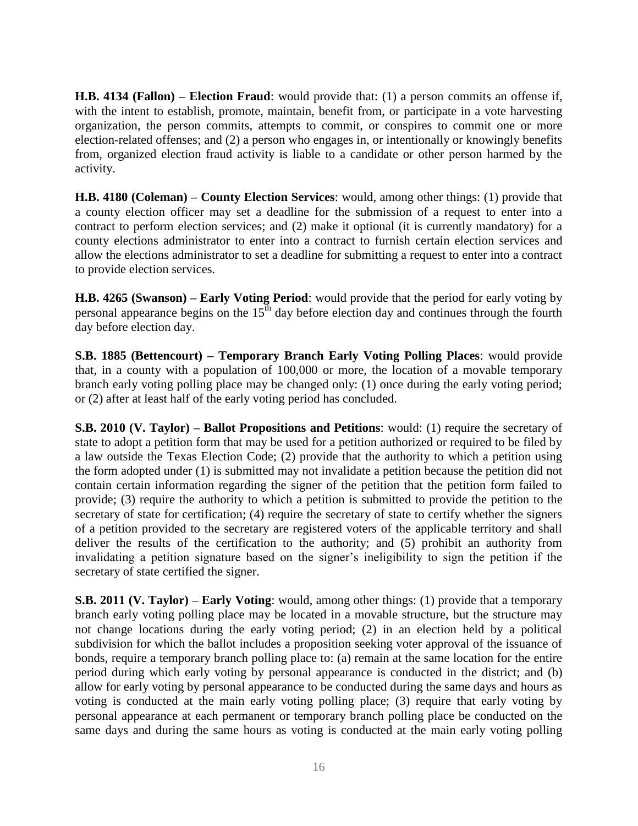**H.B. 4134 (Fallon) – Election Fraud**: would provide that: (1) a person commits an offense if, with the intent to establish, promote, maintain, benefit from, or participate in a vote harvesting organization, the person commits, attempts to commit, or conspires to commit one or more election-related offenses; and (2) a person who engages in, or intentionally or knowingly benefits from, organized election fraud activity is liable to a candidate or other person harmed by the activity.

**H.B. 4180 (Coleman) – County Election Services**: would, among other things: (1) provide that a county election officer may set a deadline for the submission of a request to enter into a contract to perform election services; and (2) make it optional (it is currently mandatory) for a county elections administrator to enter into a contract to furnish certain election services and allow the elections administrator to set a deadline for submitting a request to enter into a contract to provide election services.

**H.B. 4265 (Swanson) – Early Voting Period**: would provide that the period for early voting by personal appearance begins on the  $15<sup>th</sup>$  day before election day and continues through the fourth day before election day.

**S.B. 1885 (Bettencourt) – Temporary Branch Early Voting Polling Places**: would provide that, in a county with a population of 100,000 or more, the location of a movable temporary branch early voting polling place may be changed only: (1) once during the early voting period; or (2) after at least half of the early voting period has concluded.

**S.B. 2010 (V. Taylor) – Ballot Propositions and Petitions**: would: (1) require the secretary of state to adopt a petition form that may be used for a petition authorized or required to be filed by a law outside the Texas Election Code; (2) provide that the authority to which a petition using the form adopted under (1) is submitted may not invalidate a petition because the petition did not contain certain information regarding the signer of the petition that the petition form failed to provide; (3) require the authority to which a petition is submitted to provide the petition to the secretary of state for certification; (4) require the secretary of state to certify whether the signers of a petition provided to the secretary are registered voters of the applicable territory and shall deliver the results of the certification to the authority; and (5) prohibit an authority from invalidating a petition signature based on the signer's ineligibility to sign the petition if the secretary of state certified the signer.

**S.B. 2011 (V. Taylor) – Early Voting**: would, among other things: (1) provide that a temporary branch early voting polling place may be located in a movable structure, but the structure may not change locations during the early voting period; (2) in an election held by a political subdivision for which the ballot includes a proposition seeking voter approval of the issuance of bonds, require a temporary branch polling place to: (a) remain at the same location for the entire period during which early voting by personal appearance is conducted in the district; and (b) allow for early voting by personal appearance to be conducted during the same days and hours as voting is conducted at the main early voting polling place; (3) require that early voting by personal appearance at each permanent or temporary branch polling place be conducted on the same days and during the same hours as voting is conducted at the main early voting polling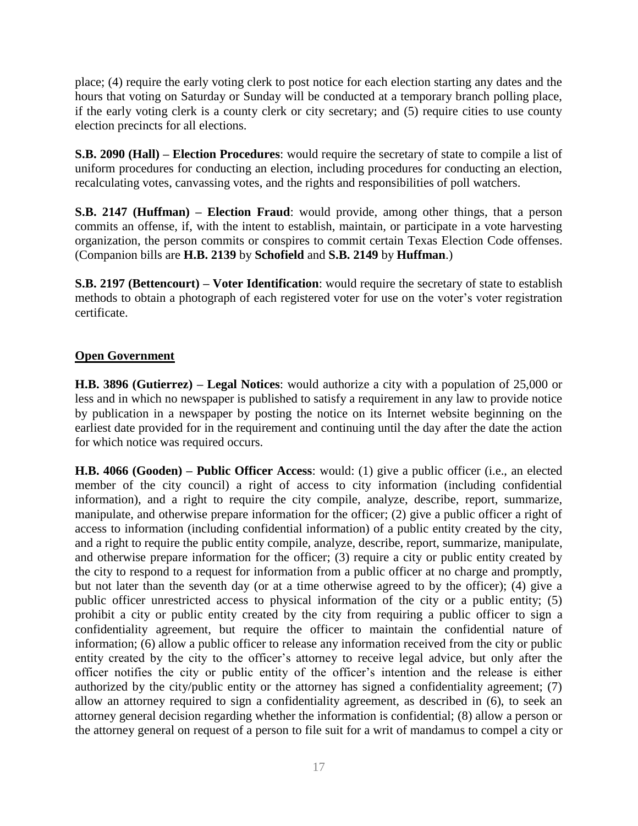place; (4) require the early voting clerk to post notice for each election starting any dates and the hours that voting on Saturday or Sunday will be conducted at a temporary branch polling place, if the early voting clerk is a county clerk or city secretary; and (5) require cities to use county election precincts for all elections.

**S.B. 2090 (Hall) – Election Procedures**: would require the secretary of state to compile a list of uniform procedures for conducting an election, including procedures for conducting an election, recalculating votes, canvassing votes, and the rights and responsibilities of poll watchers.

**S.B. 2147 (Huffman) – Election Fraud**: would provide, among other things, that a person commits an offense, if, with the intent to establish, maintain, or participate in a vote harvesting organization, the person commits or conspires to commit certain Texas Election Code offenses. (Companion bills are **H.B. 2139** by **Schofield** and **S.B. 2149** by **Huffman**.)

**S.B. 2197 (Bettencourt) – Voter Identification**: would require the secretary of state to establish methods to obtain a photograph of each registered voter for use on the voter's voter registration certificate.

#### **Open Government**

**H.B. 3896 (Gutierrez) – Legal Notices**: would authorize a city with a population of 25,000 or less and in which no newspaper is published to satisfy a requirement in any law to provide notice by publication in a newspaper by posting the notice on its Internet website beginning on the earliest date provided for in the requirement and continuing until the day after the date the action for which notice was required occurs.

**H.B. 4066 (Gooden) – Public Officer Access**: would: (1) give a public officer (i.e., an elected member of the city council) a right of access to city information (including confidential information), and a right to require the city compile, analyze, describe, report, summarize, manipulate, and otherwise prepare information for the officer; (2) give a public officer a right of access to information (including confidential information) of a public entity created by the city, and a right to require the public entity compile, analyze, describe, report, summarize, manipulate, and otherwise prepare information for the officer; (3) require a city or public entity created by the city to respond to a request for information from a public officer at no charge and promptly, but not later than the seventh day (or at a time otherwise agreed to by the officer); (4) give a public officer unrestricted access to physical information of the city or a public entity; (5) prohibit a city or public entity created by the city from requiring a public officer to sign a confidentiality agreement, but require the officer to maintain the confidential nature of information; (6) allow a public officer to release any information received from the city or public entity created by the city to the officer's attorney to receive legal advice, but only after the officer notifies the city or public entity of the officer's intention and the release is either authorized by the city/public entity or the attorney has signed a confidentiality agreement; (7) allow an attorney required to sign a confidentiality agreement, as described in (6), to seek an attorney general decision regarding whether the information is confidential; (8) allow a person or the attorney general on request of a person to file suit for a writ of mandamus to compel a city or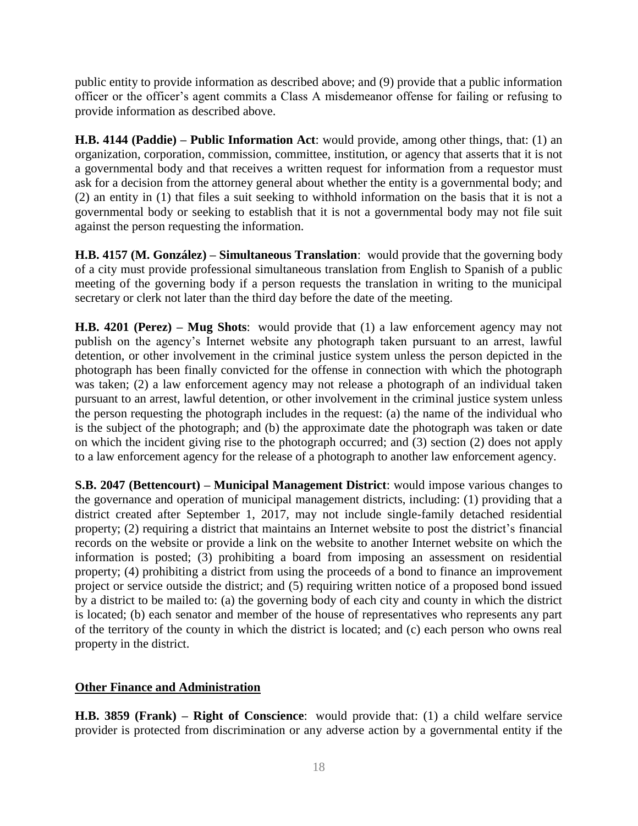public entity to provide information as described above; and (9) provide that a public information officer or the officer's agent commits a Class A misdemeanor offense for failing or refusing to provide information as described above.

**H.B. 4144 (Paddie) – Public Information Act**: would provide, among other things, that: (1) an organization, corporation, commission, committee, institution, or agency that asserts that it is not a governmental body and that receives a written request for information from a requestor must ask for a decision from the attorney general about whether the entity is a governmental body; and (2) an entity in (1) that files a suit seeking to withhold information on the basis that it is not a governmental body or seeking to establish that it is not a governmental body may not file suit against the person requesting the information.

**H.B. 4157 (M. González) – Simultaneous Translation**: would provide that the governing body of a city must provide professional simultaneous translation from English to Spanish of a public meeting of the governing body if a person requests the translation in writing to the municipal secretary or clerk not later than the third day before the date of the meeting.

**H.B. 4201 (Perez) – Mug Shots**: would provide that (1) a law enforcement agency may not publish on the agency's Internet website any photograph taken pursuant to an arrest, lawful detention, or other involvement in the criminal justice system unless the person depicted in the photograph has been finally convicted for the offense in connection with which the photograph was taken; (2) a law enforcement agency may not release a photograph of an individual taken pursuant to an arrest, lawful detention, or other involvement in the criminal justice system unless the person requesting the photograph includes in the request: (a) the name of the individual who is the subject of the photograph; and (b) the approximate date the photograph was taken or date on which the incident giving rise to the photograph occurred; and (3) section (2) does not apply to a law enforcement agency for the release of a photograph to another law enforcement agency.

**S.B. 2047 (Bettencourt) – Municipal Management District**: would impose various changes to the governance and operation of municipal management districts, including: (1) providing that a district created after September 1, 2017, may not include single-family detached residential property; (2) requiring a district that maintains an Internet website to post the district's financial records on the website or provide a link on the website to another Internet website on which the information is posted; (3) prohibiting a board from imposing an assessment on residential property; (4) prohibiting a district from using the proceeds of a bond to finance an improvement project or service outside the district; and (5) requiring written notice of a proposed bond issued by a district to be mailed to: (a) the governing body of each city and county in which the district is located; (b) each senator and member of the house of representatives who represents any part of the territory of the county in which the district is located; and (c) each person who owns real property in the district.

#### **Other Finance and Administration**

**H.B. 3859 (Frank) – Right of Conscience**: would provide that: (1) a child welfare service provider is protected from discrimination or any adverse action by a governmental entity if the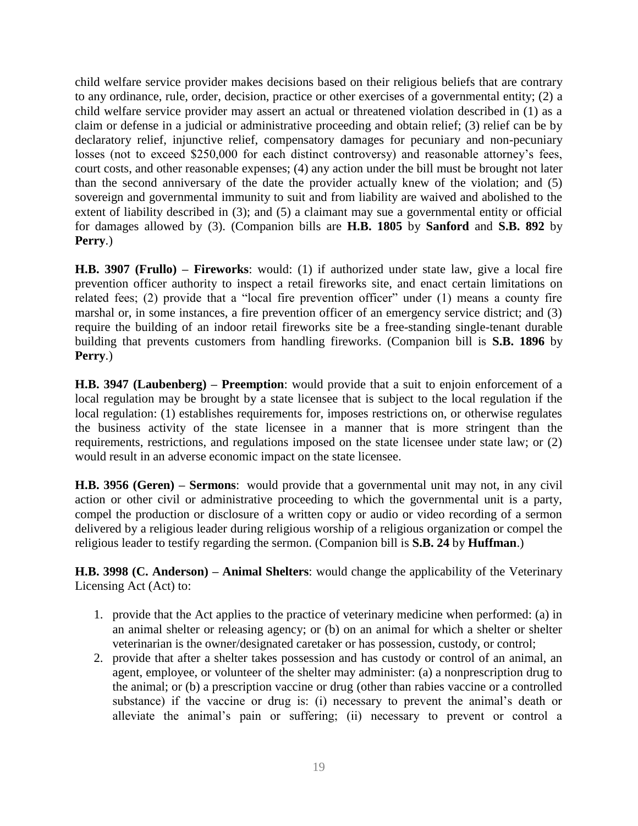child welfare service provider makes decisions based on their religious beliefs that are contrary to any ordinance, rule, order, decision, practice or other exercises of a governmental entity; (2) a child welfare service provider may assert an actual or threatened violation described in (1) as a claim or defense in a judicial or administrative proceeding and obtain relief; (3) relief can be by declaratory relief, injunctive relief, compensatory damages for pecuniary and non-pecuniary losses (not to exceed \$250,000 for each distinct controversy) and reasonable attorney's fees, court costs, and other reasonable expenses; (4) any action under the bill must be brought not later than the second anniversary of the date the provider actually knew of the violation; and (5) sovereign and governmental immunity to suit and from liability are waived and abolished to the extent of liability described in (3); and (5) a claimant may sue a governmental entity or official for damages allowed by (3). (Companion bills are **H.B. 1805** by **Sanford** and **S.B. 892** by **Perry**.)

**H.B. 3907 (Frullo) – Fireworks**: would: (1) if authorized under state law, give a local fire prevention officer authority to inspect a retail fireworks site, and enact certain limitations on related fees; (2) provide that a "local fire prevention officer" under (1) means a county fire marshal or, in some instances, a fire prevention officer of an emergency service district; and (3) require the building of an indoor retail fireworks site be a free-standing single-tenant durable building that prevents customers from handling fireworks. (Companion bill is **S.B. 1896** by **Perry**.)

**H.B. 3947 (Laubenberg) – Preemption**: would provide that a suit to enjoin enforcement of a local regulation may be brought by a state licensee that is subject to the local regulation if the local regulation: (1) establishes requirements for, imposes restrictions on, or otherwise regulates the business activity of the state licensee in a manner that is more stringent than the requirements, restrictions, and regulations imposed on the state licensee under state law; or (2) would result in an adverse economic impact on the state licensee.

**H.B. 3956 (Geren) – Sermons**: would provide that a governmental unit may not, in any civil action or other civil or administrative proceeding to which the governmental unit is a party, compel the production or disclosure of a written copy or audio or video recording of a sermon delivered by a religious leader during religious worship of a religious organization or compel the religious leader to testify regarding the sermon. (Companion bill is **S.B. 24** by **Huffman**.)

**H.B. 3998 (C. Anderson) – Animal Shelters**: would change the applicability of the Veterinary Licensing Act (Act) to:

- 1. provide that the Act applies to the practice of veterinary medicine when performed: (a) in an animal shelter or releasing agency; or (b) on an animal for which a shelter or shelter veterinarian is the owner/designated caretaker or has possession, custody, or control;
- 2. provide that after a shelter takes possession and has custody or control of an animal, an agent, employee, or volunteer of the shelter may administer: (a) a nonprescription drug to the animal; or (b) a prescription vaccine or drug (other than rabies vaccine or a controlled substance) if the vaccine or drug is: (i) necessary to prevent the animal's death or alleviate the animal's pain or suffering; (ii) necessary to prevent or control a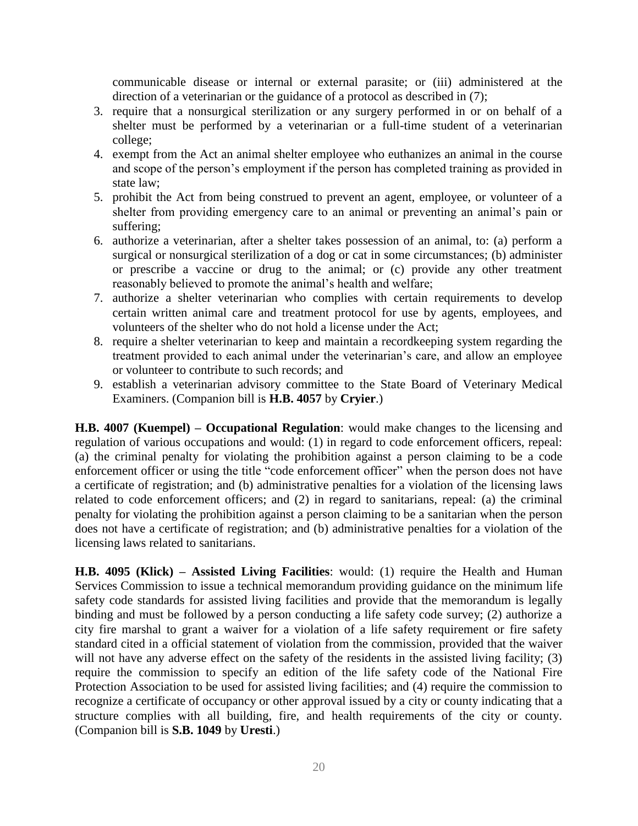communicable disease or internal or external parasite; or (iii) administered at the direction of a veterinarian or the guidance of a protocol as described in (7);

- 3. require that a nonsurgical sterilization or any surgery performed in or on behalf of a shelter must be performed by a veterinarian or a full-time student of a veterinarian college;
- 4. exempt from the Act an animal shelter employee who euthanizes an animal in the course and scope of the person's employment if the person has completed training as provided in state law;
- 5. prohibit the Act from being construed to prevent an agent, employee, or volunteer of a shelter from providing emergency care to an animal or preventing an animal's pain or suffering;
- 6. authorize a veterinarian, after a shelter takes possession of an animal, to: (a) perform a surgical or nonsurgical sterilization of a dog or cat in some circumstances; (b) administer or prescribe a vaccine or drug to the animal; or (c) provide any other treatment reasonably believed to promote the animal's health and welfare;
- 7. authorize a shelter veterinarian who complies with certain requirements to develop certain written animal care and treatment protocol for use by agents, employees, and volunteers of the shelter who do not hold a license under the Act;
- 8. require a shelter veterinarian to keep and maintain a recordkeeping system regarding the treatment provided to each animal under the veterinarian's care, and allow an employee or volunteer to contribute to such records; and
- 9. establish a veterinarian advisory committee to the State Board of Veterinary Medical Examiners. (Companion bill is **H.B. 4057** by **Cryier**.)

**H.B. 4007 (Kuempel) – Occupational Regulation**: would make changes to the licensing and regulation of various occupations and would: (1) in regard to code enforcement officers, repeal: (a) the criminal penalty for violating the prohibition against a person claiming to be a code enforcement officer or using the title "code enforcement officer" when the person does not have a certificate of registration; and (b) administrative penalties for a violation of the licensing laws related to code enforcement officers; and (2) in regard to sanitarians, repeal: (a) the criminal penalty for violating the prohibition against a person claiming to be a sanitarian when the person does not have a certificate of registration; and (b) administrative penalties for a violation of the licensing laws related to sanitarians.

**H.B. 4095 (Klick) – Assisted Living Facilities**: would: (1) require the Health and Human Services Commission to issue a technical memorandum providing guidance on the minimum life safety code standards for assisted living facilities and provide that the memorandum is legally binding and must be followed by a person conducting a life safety code survey; (2) authorize a city fire marshal to grant a waiver for a violation of a life safety requirement or fire safety standard cited in a official statement of violation from the commission, provided that the waiver will not have any adverse effect on the safety of the residents in the assisted living facility; (3) require the commission to specify an edition of the life safety code of the National Fire Protection Association to be used for assisted living facilities; and (4) require the commission to recognize a certificate of occupancy or other approval issued by a city or county indicating that a structure complies with all building, fire, and health requirements of the city or county. (Companion bill is **S.B. 1049** by **Uresti**.)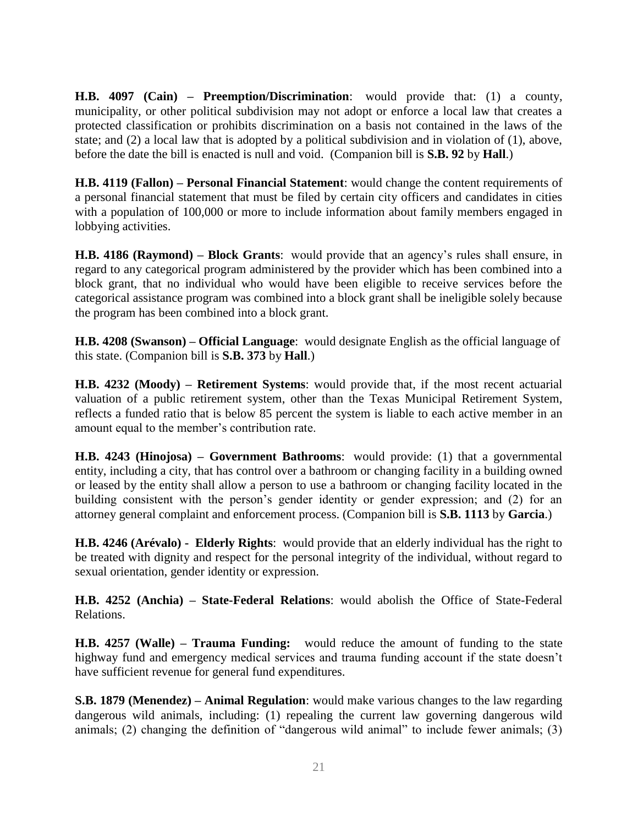**H.B. 4097 (Cain) – Preemption/Discrimination**: would provide that: (1) a county, municipality, or other political subdivision may not adopt or enforce a local law that creates a protected classification or prohibits discrimination on a basis not contained in the laws of the state; and (2) a local law that is adopted by a political subdivision and in violation of (1), above, before the date the bill is enacted is null and void. (Companion bill is **S.B. 92** by **Hall**.)

**H.B. 4119 (Fallon) – Personal Financial Statement**: would change the content requirements of a personal financial statement that must be filed by certain city officers and candidates in cities with a population of 100,000 or more to include information about family members engaged in lobbying activities.

**H.B. 4186 (Raymond) – Block Grants**: would provide that an agency's rules shall ensure, in regard to any categorical program administered by the provider which has been combined into a block grant, that no individual who would have been eligible to receive services before the categorical assistance program was combined into a block grant shall be ineligible solely because the program has been combined into a block grant.

**H.B. 4208 (Swanson) – Official Language**: would designate English as the official language of this state. (Companion bill is **S.B. 373** by **Hall**.)

**H.B. 4232 (Moody) – Retirement Systems**: would provide that, if the most recent actuarial valuation of a public retirement system, other than the Texas Municipal Retirement System, reflects a funded ratio that is below 85 percent the system is liable to each active member in an amount equal to the member's contribution rate.

**H.B. 4243 (Hinojosa) – Government Bathrooms**: would provide: (1) that a governmental entity, including a city, that has control over a bathroom or changing facility in a building owned or leased by the entity shall allow a person to use a bathroom or changing facility located in the building consistent with the person's gender identity or gender expression; and (2) for an attorney general complaint and enforcement process. (Companion bill is **S.B. 1113** by **Garcia**.)

**H.B. 4246 (Arévalo) - Elderly Rights**: would provide that an elderly individual has the right to be treated with dignity and respect for the personal integrity of the individual, without regard to sexual orientation, gender identity or expression.

**H.B. 4252 (Anchia) – State-Federal Relations**: would abolish the Office of State-Federal Relations.

**H.B. 4257 (Walle) – Trauma Funding:** would reduce the amount of funding to the state highway fund and emergency medical services and trauma funding account if the state doesn't have sufficient revenue for general fund expenditures.

**S.B. 1879 (Menendez) – Animal Regulation**: would make various changes to the law regarding dangerous wild animals, including: (1) repealing the current law governing dangerous wild animals; (2) changing the definition of "dangerous wild animal" to include fewer animals; (3)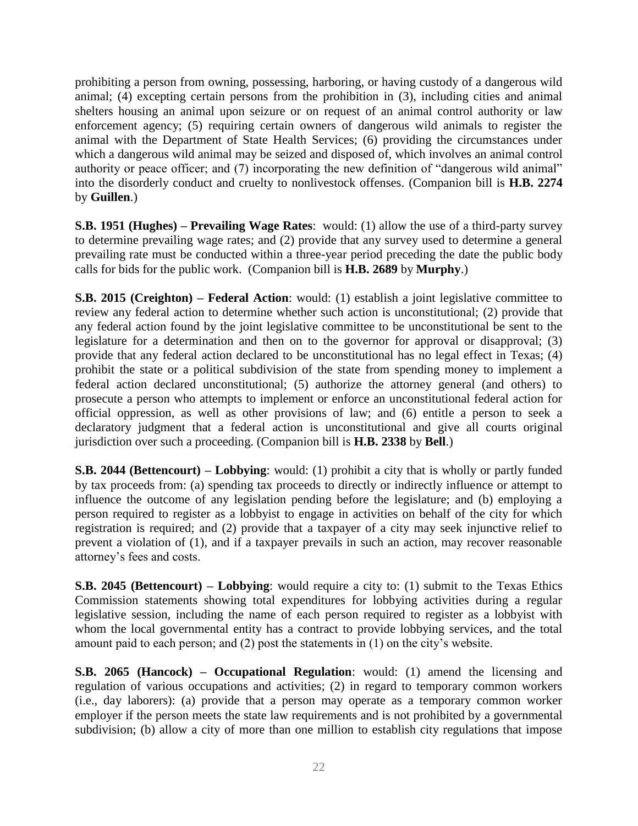prohibiting a person from owning, possessing, harboring, or having custody of a dangerous wild animal; (4) excepting certain persons from the prohibition in (3), including cities and animal shelters housing an animal upon seizure or on request of an animal control authority or law enforcement agency; (5) requiring certain owners of dangerous wild animals to register the animal with the Department of State Health Services; (6) providing the circumstances under which a dangerous wild animal may be seized and disposed of, which involves an animal control authority or peace officer; and (7) incorporating the new definition of "dangerous wild animal" into the disorderly conduct and cruelty to nonlivestock offenses. (Companion bill is **H.B. 2274** by **Guillen**.)

**S.B. 1951 (Hughes) – Prevailing Wage Rates**: would: (1) allow the use of a third-party survey to determine prevailing wage rates; and (2) provide that any survey used to determine a general prevailing rate must be conducted within a three-year period preceding the date the public body calls for bids for the public work. (Companion bill is **H.B. 2689** by **Murphy**.)

**S.B. 2015 (Creighton) – Federal Action**: would: (1) establish a joint legislative committee to review any federal action to determine whether such action is unconstitutional; (2) provide that any federal action found by the joint legislative committee to be unconstitutional be sent to the legislature for a determination and then on to the governor for approval or disapproval; (3) provide that any federal action declared to be unconstitutional has no legal effect in Texas; (4) prohibit the state or a political subdivision of the state from spending money to implement a federal action declared unconstitutional; (5) authorize the attorney general (and others) to prosecute a person who attempts to implement or enforce an unconstitutional federal action for official oppression, as well as other provisions of law; and (6) entitle a person to seek a declaratory judgment that a federal action is unconstitutional and give all courts original jurisdiction over such a proceeding. (Companion bill is **H.B. 2338** by **Bell**.)

**S.B. 2044 (Bettencourt) – Lobbying**: would: (1) prohibit a city that is wholly or partly funded by tax proceeds from: (a) spending tax proceeds to directly or indirectly influence or attempt to influence the outcome of any legislation pending before the legislature; and (b) employing a person required to register as a lobbyist to engage in activities on behalf of the city for which registration is required; and (2) provide that a taxpayer of a city may seek injunctive relief to prevent a violation of (1), and if a taxpayer prevails in such an action, may recover reasonable attorney's fees and costs.

**S.B. 2045 (Bettencourt) – Lobbying**: would require a city to: (1) submit to the Texas Ethics Commission statements showing total expenditures for lobbying activities during a regular legislative session, including the name of each person required to register as a lobbyist with whom the local governmental entity has a contract to provide lobbying services, and the total amount paid to each person; and (2) post the statements in (1) on the city's website.

**S.B. 2065 (Hancock) – Occupational Regulation**: would: (1) amend the licensing and regulation of various occupations and activities; (2) in regard to temporary common workers (i.e., day laborers): (a) provide that a person may operate as a temporary common worker employer if the person meets the state law requirements and is not prohibited by a governmental subdivision; (b) allow a city of more than one million to establish city regulations that impose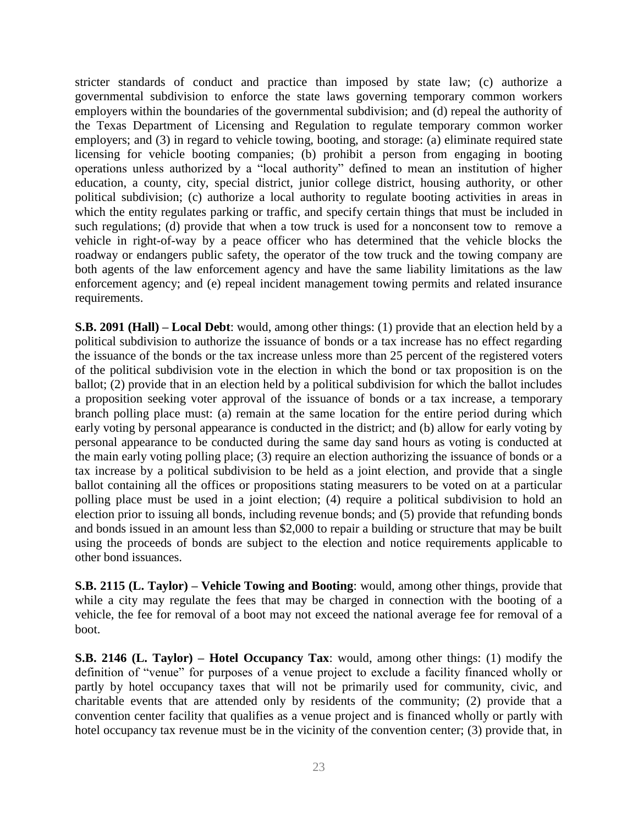stricter standards of conduct and practice than imposed by state law; (c) authorize a governmental subdivision to enforce the state laws governing temporary common workers employers within the boundaries of the governmental subdivision; and (d) repeal the authority of the Texas Department of Licensing and Regulation to regulate temporary common worker employers; and (3) in regard to vehicle towing, booting, and storage: (a) eliminate required state licensing for vehicle booting companies; (b) prohibit a person from engaging in booting operations unless authorized by a "local authority" defined to mean an institution of higher education, a county, city, special district, junior college district, housing authority, or other political subdivision; (c) authorize a local authority to regulate booting activities in areas in which the entity regulates parking or traffic, and specify certain things that must be included in such regulations; (d) provide that when a tow truck is used for a nonconsent tow to remove a vehicle in right-of-way by a peace officer who has determined that the vehicle blocks the roadway or endangers public safety, the operator of the tow truck and the towing company are both agents of the law enforcement agency and have the same liability limitations as the law enforcement agency; and (e) repeal incident management towing permits and related insurance requirements.

**S.B. 2091 (Hall) – Local Debt**: would, among other things: (1) provide that an election held by a political subdivision to authorize the issuance of bonds or a tax increase has no effect regarding the issuance of the bonds or the tax increase unless more than 25 percent of the registered voters of the political subdivision vote in the election in which the bond or tax proposition is on the ballot; (2) provide that in an election held by a political subdivision for which the ballot includes a proposition seeking voter approval of the issuance of bonds or a tax increase, a temporary branch polling place must: (a) remain at the same location for the entire period during which early voting by personal appearance is conducted in the district; and (b) allow for early voting by personal appearance to be conducted during the same day sand hours as voting is conducted at the main early voting polling place; (3) require an election authorizing the issuance of bonds or a tax increase by a political subdivision to be held as a joint election, and provide that a single ballot containing all the offices or propositions stating measurers to be voted on at a particular polling place must be used in a joint election; (4) require a political subdivision to hold an election prior to issuing all bonds, including revenue bonds; and (5) provide that refunding bonds and bonds issued in an amount less than \$2,000 to repair a building or structure that may be built using the proceeds of bonds are subject to the election and notice requirements applicable to other bond issuances.

**S.B. 2115 (L. Taylor) – Vehicle Towing and Booting**: would, among other things, provide that while a city may regulate the fees that may be charged in connection with the booting of a vehicle, the fee for removal of a boot may not exceed the national average fee for removal of a boot.

**S.B. 2146 (L. Taylor) – Hotel Occupancy Tax**: would, among other things: (1) modify the definition of "venue" for purposes of a venue project to exclude a facility financed wholly or partly by hotel occupancy taxes that will not be primarily used for community, civic, and charitable events that are attended only by residents of the community; (2) provide that a convention center facility that qualifies as a venue project and is financed wholly or partly with hotel occupancy tax revenue must be in the vicinity of the convention center; (3) provide that, in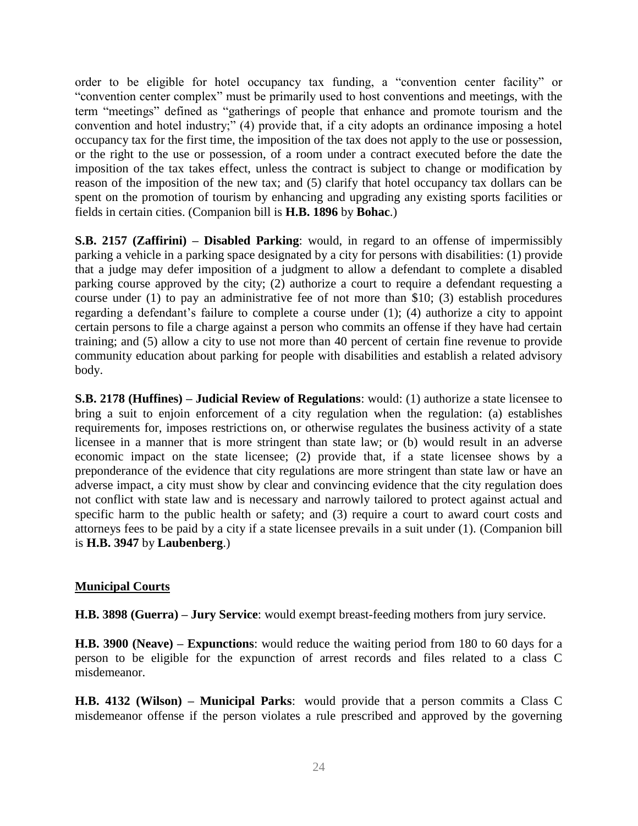order to be eligible for hotel occupancy tax funding, a "convention center facility" or "convention center complex" must be primarily used to host conventions and meetings, with the term "meetings" defined as "gatherings of people that enhance and promote tourism and the convention and hotel industry;" (4) provide that, if a city adopts an ordinance imposing a hotel occupancy tax for the first time, the imposition of the tax does not apply to the use or possession, or the right to the use or possession, of a room under a contract executed before the date the imposition of the tax takes effect, unless the contract is subject to change or modification by reason of the imposition of the new tax; and (5) clarify that hotel occupancy tax dollars can be spent on the promotion of tourism by enhancing and upgrading any existing sports facilities or fields in certain cities. (Companion bill is **H.B. 1896** by **Bohac**.)

**S.B. 2157 (Zaffirini) – Disabled Parking**: would, in regard to an offense of impermissibly parking a vehicle in a parking space designated by a city for persons with disabilities: (1) provide that a judge may defer imposition of a judgment to allow a defendant to complete a disabled parking course approved by the city; (2) authorize a court to require a defendant requesting a course under (1) to pay an administrative fee of not more than \$10; (3) establish procedures regarding a defendant's failure to complete a course under (1); (4) authorize a city to appoint certain persons to file a charge against a person who commits an offense if they have had certain training; and (5) allow a city to use not more than 40 percent of certain fine revenue to provide community education about parking for people with disabilities and establish a related advisory body.

**S.B. 2178 (Huffines) – Judicial Review of Regulations**: would: (1) authorize a state licensee to bring a suit to enjoin enforcement of a city regulation when the regulation: (a) establishes requirements for, imposes restrictions on, or otherwise regulates the business activity of a state licensee in a manner that is more stringent than state law; or (b) would result in an adverse economic impact on the state licensee; (2) provide that, if a state licensee shows by a preponderance of the evidence that city regulations are more stringent than state law or have an adverse impact, a city must show by clear and convincing evidence that the city regulation does not conflict with state law and is necessary and narrowly tailored to protect against actual and specific harm to the public health or safety; and (3) require a court to award court costs and attorneys fees to be paid by a city if a state licensee prevails in a suit under (1). (Companion bill is **H.B. 3947** by **Laubenberg**.)

#### **Municipal Courts**

**H.B. 3898 (Guerra) – Jury Service**: would exempt breast-feeding mothers from jury service.

**H.B. 3900 (Neave) – Expunctions**: would reduce the waiting period from 180 to 60 days for a person to be eligible for the expunction of arrest records and files related to a class C misdemeanor.

**H.B. 4132 (Wilson) – Municipal Parks**: would provide that a person commits a Class C misdemeanor offense if the person violates a rule prescribed and approved by the governing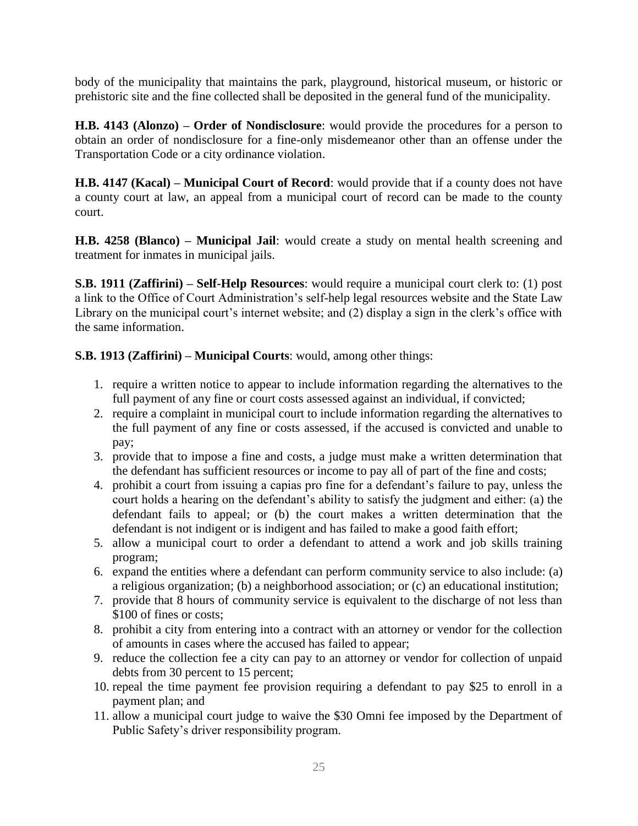body of the municipality that maintains the park, playground, historical museum, or historic or prehistoric site and the fine collected shall be deposited in the general fund of the municipality.

**H.B. 4143 (Alonzo) – Order of Nondisclosure**: would provide the procedures for a person to obtain an order of nondisclosure for a fine-only misdemeanor other than an offense under the Transportation Code or a city ordinance violation.

**H.B. 4147 (Kacal) – Municipal Court of Record**: would provide that if a county does not have a county court at law, an appeal from a municipal court of record can be made to the county court.

**H.B. 4258 (Blanco) – Municipal Jail**: would create a study on mental health screening and treatment for inmates in municipal jails.

**S.B. 1911 (Zaffirini) – Self-Help Resources**: would require a municipal court clerk to: (1) post a link to the Office of Court Administration's self-help legal resources website and the State Law Library on the municipal court's internet website; and (2) display a sign in the clerk's office with the same information.

#### **S.B. 1913 (Zaffirini) – Municipal Courts**: would, among other things:

- 1. require a written notice to appear to include information regarding the alternatives to the full payment of any fine or court costs assessed against an individual, if convicted;
- 2. require a complaint in municipal court to include information regarding the alternatives to the full payment of any fine or costs assessed, if the accused is convicted and unable to pay;
- 3. provide that to impose a fine and costs, a judge must make a written determination that the defendant has sufficient resources or income to pay all of part of the fine and costs;
- 4. prohibit a court from issuing a capias pro fine for a defendant's failure to pay, unless the court holds a hearing on the defendant's ability to satisfy the judgment and either: (a) the defendant fails to appeal; or (b) the court makes a written determination that the defendant is not indigent or is indigent and has failed to make a good faith effort;
- 5. allow a municipal court to order a defendant to attend a work and job skills training program;
- 6. expand the entities where a defendant can perform community service to also include: (a) a religious organization; (b) a neighborhood association; or (c) an educational institution;
- 7. provide that 8 hours of community service is equivalent to the discharge of not less than \$100 of fines or costs;
- 8. prohibit a city from entering into a contract with an attorney or vendor for the collection of amounts in cases where the accused has failed to appear;
- 9. reduce the collection fee a city can pay to an attorney or vendor for collection of unpaid debts from 30 percent to 15 percent;
- 10. repeal the time payment fee provision requiring a defendant to pay \$25 to enroll in a payment plan; and
- 11. allow a municipal court judge to waive the \$30 Omni fee imposed by the Department of Public Safety's driver responsibility program.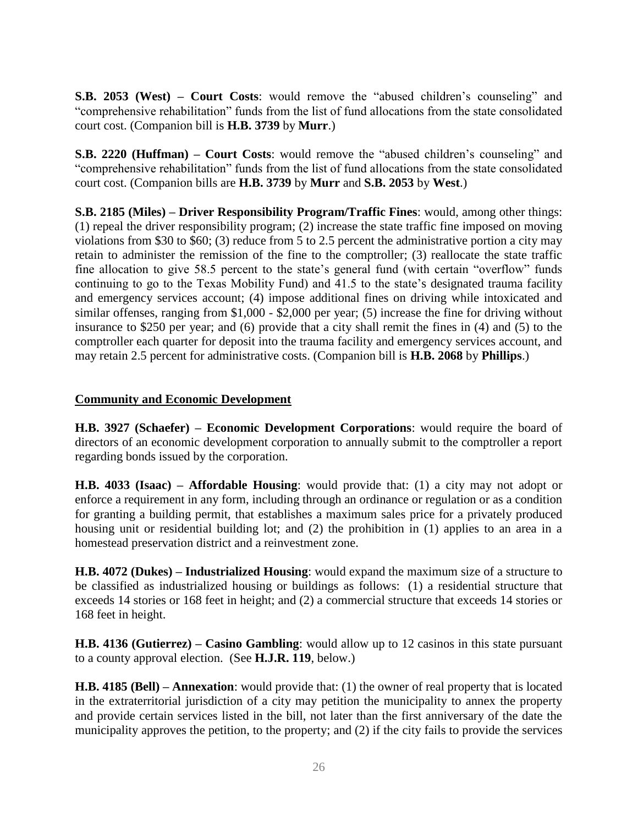**S.B. 2053 (West) – Court Costs**: would remove the "abused children's counseling" and "comprehensive rehabilitation" funds from the list of fund allocations from the state consolidated court cost. (Companion bill is **H.B. 3739** by **Murr**.)

**S.B. 2220 (Huffman) – Court Costs**: would remove the "abused children's counseling" and "comprehensive rehabilitation" funds from the list of fund allocations from the state consolidated court cost. (Companion bills are **H.B. 3739** by **Murr** and **S.B. 2053** by **West**.)

**S.B. 2185 (Miles) – Driver Responsibility Program/Traffic Fines**: would, among other things: (1) repeal the driver responsibility program; (2) increase the state traffic fine imposed on moving violations from \$30 to \$60; (3) reduce from 5 to 2.5 percent the administrative portion a city may retain to administer the remission of the fine to the comptroller; (3) reallocate the state traffic fine allocation to give 58.5 percent to the state's general fund (with certain "overflow" funds continuing to go to the Texas Mobility Fund) and 41.5 to the state's designated trauma facility and emergency services account; (4) impose additional fines on driving while intoxicated and similar offenses, ranging from \$1,000 - \$2,000 per year; (5) increase the fine for driving without insurance to \$250 per year; and (6) provide that a city shall remit the fines in (4) and (5) to the comptroller each quarter for deposit into the trauma facility and emergency services account, and may retain 2.5 percent for administrative costs. (Companion bill is **H.B. 2068** by **Phillips**.)

#### **Community and Economic Development**

**H.B. 3927 (Schaefer) – Economic Development Corporations**: would require the board of directors of an economic development corporation to annually submit to the comptroller a report regarding bonds issued by the corporation.

**H.B. 4033 (Isaac) – Affordable Housing**: would provide that: (1) a city may not adopt or enforce a requirement in any form, including through an ordinance or regulation or as a condition for granting a building permit, that establishes a maximum sales price for a privately produced housing unit or residential building lot; and (2) the prohibition in (1) applies to an area in a homestead preservation district and a reinvestment zone.

**H.B. 4072 (Dukes) – Industrialized Housing**: would expand the maximum size of a structure to be classified as industrialized housing or buildings as follows: (1) a residential structure that exceeds 14 stories or 168 feet in height; and (2) a commercial structure that exceeds 14 stories or 168 feet in height.

**H.B. 4136 (Gutierrez) – Casino Gambling**: would allow up to 12 casinos in this state pursuant to a county approval election. (See **H.J.R. 119**, below.)

**H.B. 4185 (Bell) – Annexation**: would provide that: (1) the owner of real property that is located in the extraterritorial jurisdiction of a city may petition the municipality to annex the property and provide certain services listed in the bill, not later than the first anniversary of the date the municipality approves the petition, to the property; and (2) if the city fails to provide the services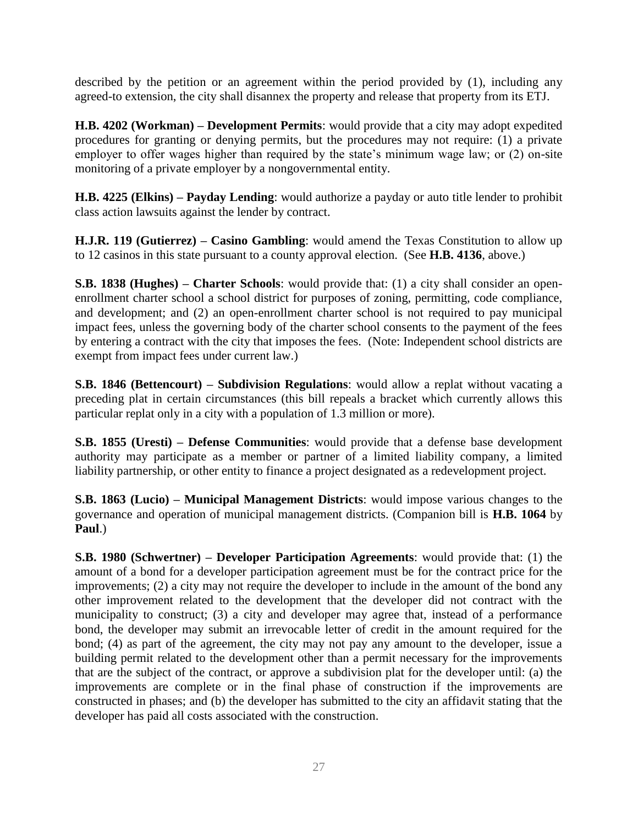described by the petition or an agreement within the period provided by (1), including any agreed-to extension, the city shall disannex the property and release that property from its ETJ.

**H.B. 4202 (Workman) – Development Permits**: would provide that a city may adopt expedited procedures for granting or denying permits, but the procedures may not require: (1) a private employer to offer wages higher than required by the state's minimum wage law; or (2) on-site monitoring of a private employer by a nongovernmental entity.

**H.B. 4225 (Elkins) – Payday Lending**: would authorize a payday or auto title lender to prohibit class action lawsuits against the lender by contract.

**H.J.R. 119 (Gutierrez) – Casino Gambling**: would amend the Texas Constitution to allow up to 12 casinos in this state pursuant to a county approval election. (See **H.B. 4136**, above.)

**S.B. 1838 (Hughes) – Charter Schools**: would provide that: (1) a city shall consider an openenrollment charter school a school district for purposes of zoning, permitting, code compliance, and development; and (2) an open-enrollment charter school is not required to pay municipal impact fees, unless the governing body of the charter school consents to the payment of the fees by entering a contract with the city that imposes the fees. (Note: Independent school districts are exempt from impact fees under current law.)

**S.B. 1846 (Bettencourt) – Subdivision Regulations**: would allow a replat without vacating a preceding plat in certain circumstances (this bill repeals a bracket which currently allows this particular replat only in a city with a population of 1.3 million or more).

**S.B. 1855 (Uresti) – Defense Communities**: would provide that a defense base development authority may participate as a member or partner of a limited liability company, a limited liability partnership, or other entity to finance a project designated as a redevelopment project.

**S.B. 1863 (Lucio) – Municipal Management Districts**: would impose various changes to the governance and operation of municipal management districts. (Companion bill is **H.B. 1064** by **Paul**.)

**S.B. 1980 (Schwertner) – Developer Participation Agreements**: would provide that: (1) the amount of a bond for a developer participation agreement must be for the contract price for the improvements; (2) a city may not require the developer to include in the amount of the bond any other improvement related to the development that the developer did not contract with the municipality to construct; (3) a city and developer may agree that, instead of a performance bond, the developer may submit an irrevocable letter of credit in the amount required for the bond; (4) as part of the agreement, the city may not pay any amount to the developer, issue a building permit related to the development other than a permit necessary for the improvements that are the subject of the contract, or approve a subdivision plat for the developer until: (a) the improvements are complete or in the final phase of construction if the improvements are constructed in phases; and (b) the developer has submitted to the city an affidavit stating that the developer has paid all costs associated with the construction.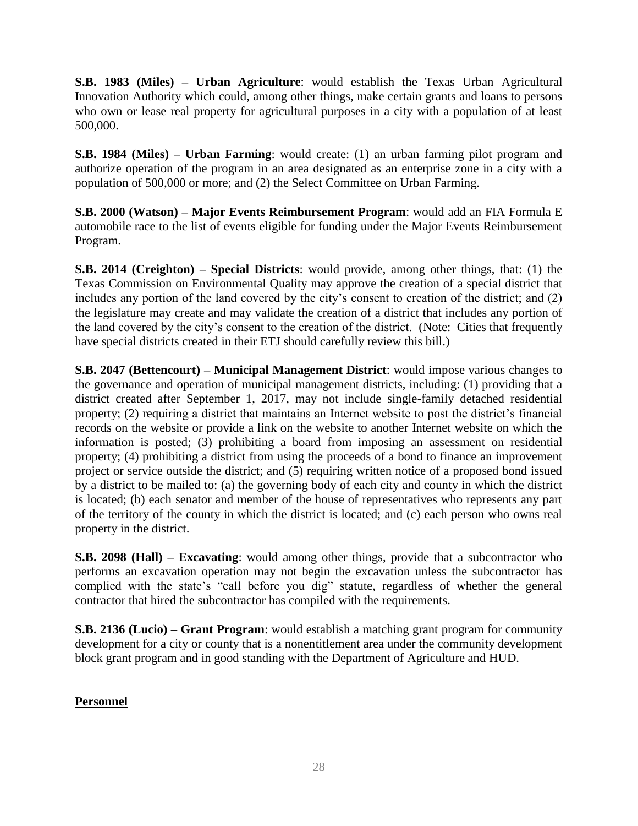**S.B. 1983 (Miles) – Urban Agriculture**: would establish the Texas Urban Agricultural Innovation Authority which could, among other things, make certain grants and loans to persons who own or lease real property for agricultural purposes in a city with a population of at least 500,000.

**S.B. 1984 (Miles) – Urban Farming**: would create: (1) an urban farming pilot program and authorize operation of the program in an area designated as an enterprise zone in a city with a population of 500,000 or more; and (2) the Select Committee on Urban Farming.

**S.B. 2000 (Watson) – Major Events Reimbursement Program**: would add an FIA Formula E automobile race to the list of events eligible for funding under the Major Events Reimbursement Program.

**S.B. 2014 (Creighton) – Special Districts**: would provide, among other things, that: (1) the Texas Commission on Environmental Quality may approve the creation of a special district that includes any portion of the land covered by the city's consent to creation of the district; and (2) the legislature may create and may validate the creation of a district that includes any portion of the land covered by the city's consent to the creation of the district. (Note: Cities that frequently have special districts created in their ETJ should carefully review this bill.)

**S.B. 2047 (Bettencourt) – Municipal Management District**: would impose various changes to the governance and operation of municipal management districts, including: (1) providing that a district created after September 1, 2017, may not include single-family detached residential property; (2) requiring a district that maintains an Internet website to post the district's financial records on the website or provide a link on the website to another Internet website on which the information is posted; (3) prohibiting a board from imposing an assessment on residential property; (4) prohibiting a district from using the proceeds of a bond to finance an improvement project or service outside the district; and (5) requiring written notice of a proposed bond issued by a district to be mailed to: (a) the governing body of each city and county in which the district is located; (b) each senator and member of the house of representatives who represents any part of the territory of the county in which the district is located; and (c) each person who owns real property in the district.

**S.B. 2098 (Hall) – Excavating**: would among other things, provide that a subcontractor who performs an excavation operation may not begin the excavation unless the subcontractor has complied with the state's "call before you dig" statute, regardless of whether the general contractor that hired the subcontractor has compiled with the requirements.

**S.B. 2136 (Lucio) – Grant Program**: would establish a matching grant program for community development for a city or county that is a nonentitlement area under the community development block grant program and in good standing with the Department of Agriculture and HUD.

#### **Personnel**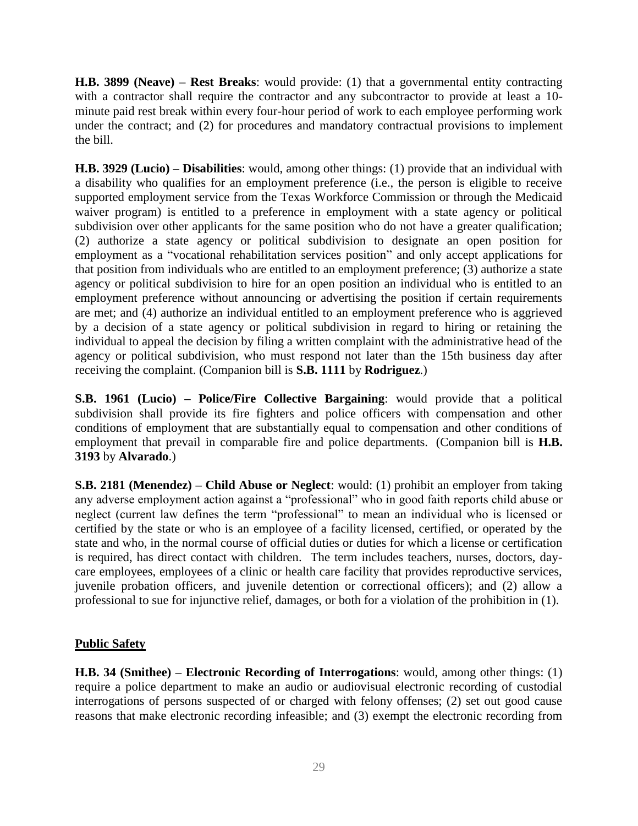**H.B. 3899 (Neave) – Rest Breaks**: would provide: (1) that a governmental entity contracting with a contractor shall require the contractor and any subcontractor to provide at least a 10 minute paid rest break within every four-hour period of work to each employee performing work under the contract; and (2) for procedures and mandatory contractual provisions to implement the bill.

**H.B. 3929 (Lucio) – Disabilities**: would, among other things: (1) provide that an individual with a disability who qualifies for an employment preference (i.e., the person is eligible to receive supported employment service from the Texas Workforce Commission or through the Medicaid waiver program) is entitled to a preference in employment with a state agency or political subdivision over other applicants for the same position who do not have a greater qualification; (2) authorize a state agency or political subdivision to designate an open position for employment as a "vocational rehabilitation services position" and only accept applications for that position from individuals who are entitled to an employment preference; (3) authorize a state agency or political subdivision to hire for an open position an individual who is entitled to an employment preference without announcing or advertising the position if certain requirements are met; and (4) authorize an individual entitled to an employment preference who is aggrieved by a decision of a state agency or political subdivision in regard to hiring or retaining the individual to appeal the decision by filing a written complaint with the administrative head of the agency or political subdivision, who must respond not later than the 15th business day after receiving the complaint. (Companion bill is **S.B. 1111** by **Rodriguez**.)

**S.B. 1961 (Lucio) – Police/Fire Collective Bargaining**: would provide that a political subdivision shall provide its fire fighters and police officers with compensation and other conditions of employment that are substantially equal to compensation and other conditions of employment that prevail in comparable fire and police departments. (Companion bill is **H.B. 3193** by **Alvarado**.)

**S.B. 2181 (Menendez) – Child Abuse or Neglect**: would: (1) prohibit an employer from taking any adverse employment action against a "professional" who in good faith reports child abuse or neglect (current law defines the term "professional" to mean an individual who is licensed or certified by the state or who is an employee of a facility licensed, certified, or operated by the state and who, in the normal course of official duties or duties for which a license or certification is required, has direct contact with children. The term includes teachers, nurses, doctors, daycare employees, employees of a clinic or health care facility that provides reproductive services, juvenile probation officers, and juvenile detention or correctional officers); and (2) allow a professional to sue for injunctive relief, damages, or both for a violation of the prohibition in (1).

#### **Public Safety**

**H.B. 34 (Smithee) – Electronic Recording of Interrogations**: would, among other things: (1) require a police department to make an audio or audiovisual electronic recording of custodial interrogations of persons suspected of or charged with felony offenses; (2) set out good cause reasons that make electronic recording infeasible; and (3) exempt the electronic recording from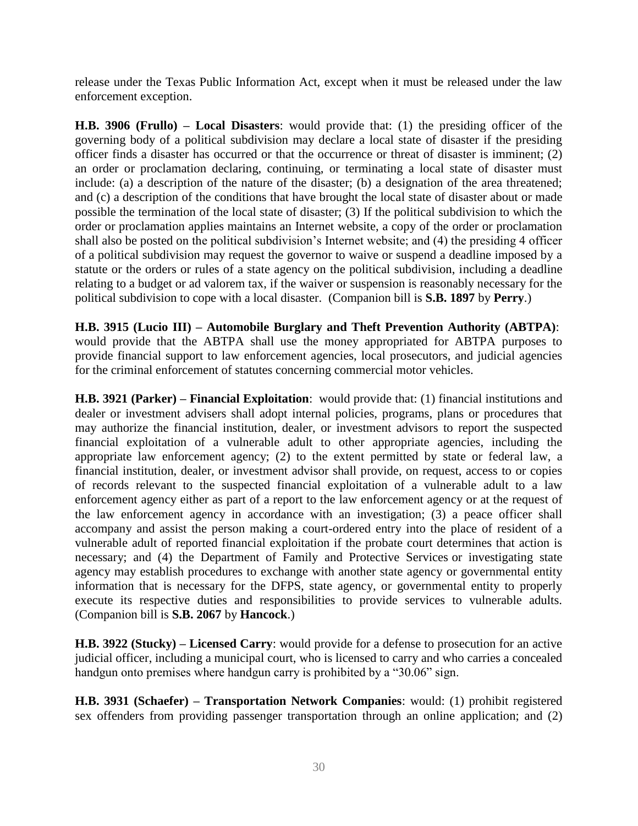release under the Texas Public Information Act, except when it must be released under the law enforcement exception.

**H.B. 3906 (Frullo) – Local Disasters**: would provide that: (1) the presiding officer of the governing body of a political subdivision may declare a local state of disaster if the presiding officer finds a disaster has occurred or that the occurrence or threat of disaster is imminent; (2) an order or proclamation declaring, continuing, or terminating a local state of disaster must include: (a) a description of the nature of the disaster; (b) a designation of the area threatened; and (c) a description of the conditions that have brought the local state of disaster about or made possible the termination of the local state of disaster; (3) If the political subdivision to which the order or proclamation applies maintains an Internet website, a copy of the order or proclamation shall also be posted on the political subdivision's Internet website; and (4) the presiding 4 officer of a political subdivision may request the governor to waive or suspend a deadline imposed by a statute or the orders or rules of a state agency on the political subdivision, including a deadline relating to a budget or ad valorem tax, if the waiver or suspension is reasonably necessary for the political subdivision to cope with a local disaster. (Companion bill is **S.B. 1897** by **Perry**.)

**H.B. 3915 (Lucio III) – Automobile Burglary and Theft Prevention Authority (ABTPA)**: would provide that the ABTPA shall use the money appropriated for ABTPA purposes to provide financial support to law enforcement agencies, local prosecutors, and judicial agencies for the criminal enforcement of statutes concerning commercial motor vehicles.

**H.B. 3921 (Parker) – Financial Exploitation**: would provide that: (1) financial institutions and dealer or investment advisers shall adopt internal policies, programs, plans or procedures that may authorize the financial institution, dealer, or investment advisors to report the suspected financial exploitation of a vulnerable adult to other appropriate agencies, including the appropriate law enforcement agency; (2) to the extent permitted by state or federal law, a financial institution, dealer, or investment advisor shall provide, on request, access to or copies of records relevant to the suspected financial exploitation of a vulnerable adult to a law enforcement agency either as part of a report to the law enforcement agency or at the request of the law enforcement agency in accordance with an investigation; (3) a peace officer shall accompany and assist the person making a court-ordered entry into the place of resident of a vulnerable adult of reported financial exploitation if the probate court determines that action is necessary; and (4) the Department of Family and Protective Services or investigating state agency may establish procedures to exchange with another state agency or governmental entity information that is necessary for the DFPS, state agency, or governmental entity to properly execute its respective duties and responsibilities to provide services to vulnerable adults. (Companion bill is **S.B. 2067** by **Hancock**.)

**H.B. 3922 (Stucky) – Licensed Carry**: would provide for a defense to prosecution for an active judicial officer, including a municipal court, who is licensed to carry and who carries a concealed handgun onto premises where handgun carry is prohibited by a "30.06" sign.

**H.B. 3931 (Schaefer) – Transportation Network Companies**: would: (1) prohibit registered sex offenders from providing passenger transportation through an online application; and (2)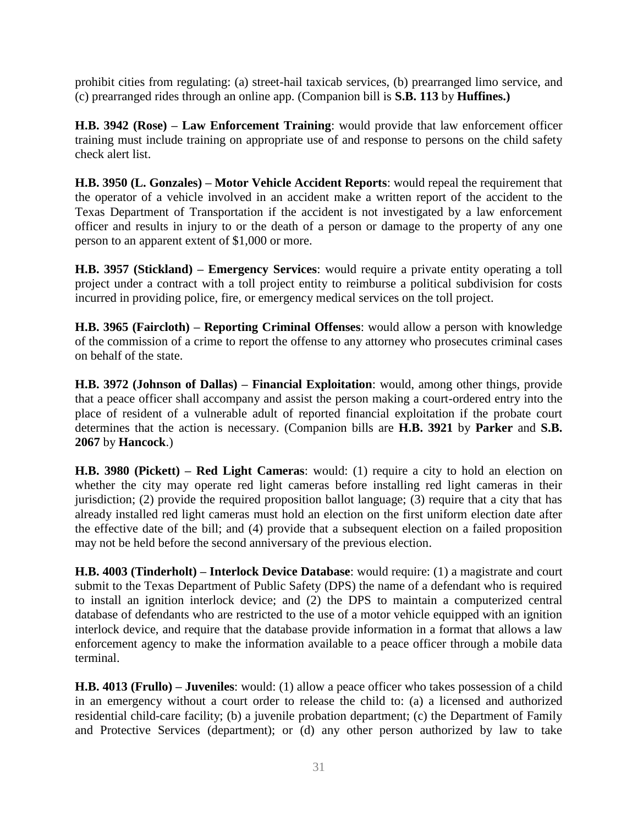prohibit cities from regulating: (a) street-hail taxicab services, (b) prearranged limo service, and (c) prearranged rides through an online app. (Companion bill is **S.B. 113** by **Huffines.)** 

**H.B. 3942 (Rose) – Law Enforcement Training**: would provide that law enforcement officer training must include training on appropriate use of and response to persons on the child safety check alert list.

**H.B. 3950 (L. Gonzales) – Motor Vehicle Accident Reports**: would repeal the requirement that the operator of a vehicle involved in an accident make a written report of the accident to the Texas Department of Transportation if the accident is not investigated by a law enforcement officer and results in injury to or the death of a person or damage to the property of any one person to an apparent extent of \$1,000 or more.

**H.B. 3957 (Stickland) – Emergency Services**: would require a private entity operating a toll project under a contract with a toll project entity to reimburse a political subdivision for costs incurred in providing police, fire, or emergency medical services on the toll project.

**H.B. 3965 (Faircloth) – Reporting Criminal Offenses**: would allow a person with knowledge of the commission of a crime to report the offense to any attorney who prosecutes criminal cases on behalf of the state.

**H.B. 3972 (Johnson of Dallas) – Financial Exploitation**: would, among other things, provide that a peace officer shall accompany and assist the person making a court-ordered entry into the place of resident of a vulnerable adult of reported financial exploitation if the probate court determines that the action is necessary. (Companion bills are **H.B. 3921** by **Parker** and **S.B. 2067** by **Hancock**.)

**H.B. 3980 (Pickett) – Red Light Cameras**: would: (1) require a city to hold an election on whether the city may operate red light cameras before installing red light cameras in their jurisdiction; (2) provide the required proposition ballot language; (3) require that a city that has already installed red light cameras must hold an election on the first uniform election date after the effective date of the bill; and (4) provide that a subsequent election on a failed proposition may not be held before the second anniversary of the previous election.

**H.B. 4003 (Tinderholt) – Interlock Device Database**: would require: (1) a magistrate and court submit to the Texas Department of Public Safety (DPS) the name of a defendant who is required to install an ignition interlock device; and (2) the DPS to maintain a computerized central database of defendants who are restricted to the use of a motor vehicle equipped with an ignition interlock device, and require that the database provide information in a format that allows a law enforcement agency to make the information available to a peace officer through a mobile data terminal.

**H.B. 4013 (Frullo) – Juveniles**: would: (1) allow a peace officer who takes possession of a child in an emergency without a court order to release the child to: (a) a licensed and authorized residential child-care facility; (b) a juvenile probation department; (c) the Department of Family and Protective Services (department); or (d) any other person authorized by law to take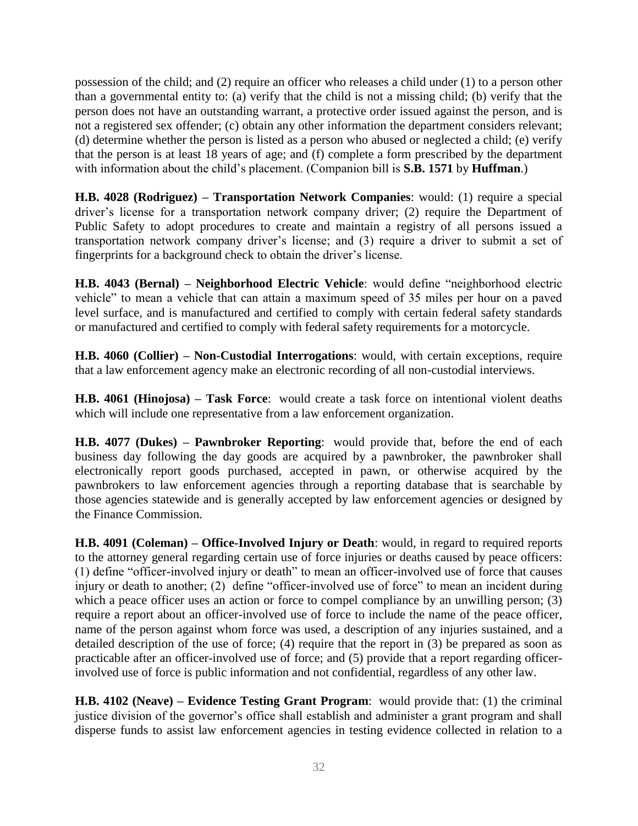possession of the child; and (2) require an officer who releases a child under (1) to a person other than a governmental entity to: (a) verify that the child is not a missing child; (b) verify that the person does not have an outstanding warrant, a protective order issued against the person, and is not a registered sex offender; (c) obtain any other information the department considers relevant; (d) determine whether the person is listed as a person who abused or neglected a child; (e) verify that the person is at least 18 years of age; and (f) complete a form prescribed by the department with information about the child's placement. (Companion bill is **S.B. 1571** by **Huffman**.)

**H.B. 4028 (Rodriguez) – Transportation Network Companies**: would: (1) require a special driver's license for a transportation network company driver; (2) require the Department of Public Safety to adopt procedures to create and maintain a registry of all persons issued a transportation network company driver's license; and (3) require a driver to submit a set of fingerprints for a background check to obtain the driver's license.

**H.B. 4043 (Bernal) – Neighborhood Electric Vehicle**: would define "neighborhood electric vehicle" to mean a vehicle that can attain a maximum speed of 35 miles per hour on a paved level surface, and is manufactured and certified to comply with certain federal safety standards or manufactured and certified to comply with federal safety requirements for a motorcycle.

**H.B. 4060 (Collier) – Non-Custodial Interrogations**: would, with certain exceptions, require that a law enforcement agency make an electronic recording of all non-custodial interviews.

**H.B. 4061 (Hinojosa) – Task Force**: would create a task force on intentional violent deaths which will include one representative from a law enforcement organization.

**H.B. 4077 (Dukes) – Pawnbroker Reporting**: would provide that, before the end of each business day following the day goods are acquired by a pawnbroker, the pawnbroker shall electronically report goods purchased, accepted in pawn, or otherwise acquired by the pawnbrokers to law enforcement agencies through a reporting database that is searchable by those agencies statewide and is generally accepted by law enforcement agencies or designed by the Finance Commission.

**H.B. 4091 (Coleman) – Office-Involved Injury or Death**: would, in regard to required reports to the attorney general regarding certain use of force injuries or deaths caused by peace officers: (1) define "officer-involved injury or death" to mean an officer-involved use of force that causes injury or death to another; (2) define "officer-involved use of force" to mean an incident during which a peace officer uses an action or force to compel compliance by an unwilling person; (3) require a report about an officer-involved use of force to include the name of the peace officer, name of the person against whom force was used, a description of any injuries sustained, and a detailed description of the use of force; (4) require that the report in (3) be prepared as soon as practicable after an officer-involved use of force; and (5) provide that a report regarding officerinvolved use of force is public information and not confidential, regardless of any other law.

**H.B. 4102 (Neave) – Evidence Testing Grant Program**: would provide that: (1) the criminal justice division of the governor's office shall establish and administer a grant program and shall disperse funds to assist law enforcement agencies in testing evidence collected in relation to a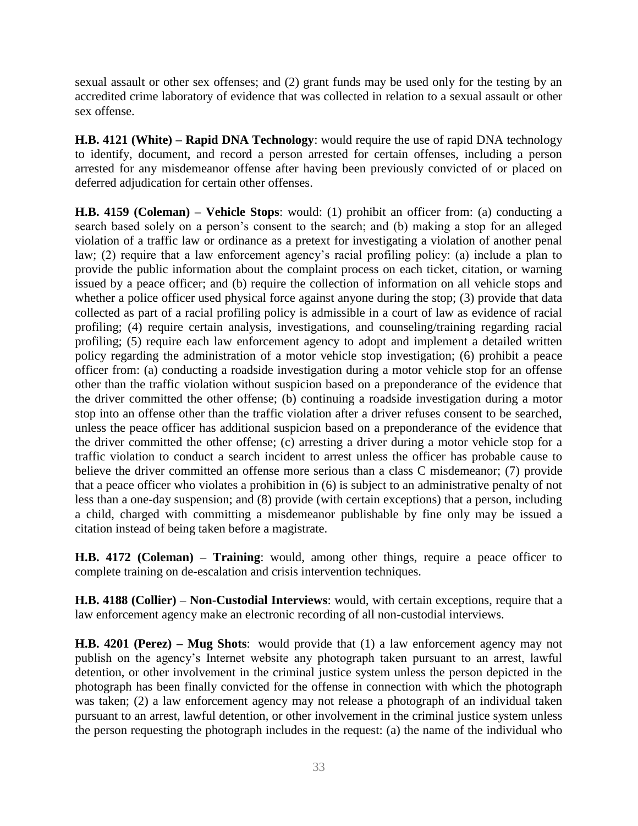sexual assault or other sex offenses; and (2) grant funds may be used only for the testing by an accredited crime laboratory of evidence that was collected in relation to a sexual assault or other sex offense.

**H.B. 4121 (White) – Rapid DNA Technology**: would require the use of rapid DNA technology to identify, document, and record a person arrested for certain offenses, including a person arrested for any misdemeanor offense after having been previously convicted of or placed on deferred adjudication for certain other offenses.

**H.B. 4159 (Coleman) – Vehicle Stops**: would: (1) prohibit an officer from: (a) conducting a search based solely on a person's consent to the search; and (b) making a stop for an alleged violation of a traffic law or ordinance as a pretext for investigating a violation of another penal law; (2) require that a law enforcement agency's racial profiling policy: (a) include a plan to provide the public information about the complaint process on each ticket, citation, or warning issued by a peace officer; and (b) require the collection of information on all vehicle stops and whether a police officer used physical force against anyone during the stop; (3) provide that data collected as part of a racial profiling policy is admissible in a court of law as evidence of racial profiling; (4) require certain analysis, investigations, and counseling/training regarding racial profiling; (5) require each law enforcement agency to adopt and implement a detailed written policy regarding the administration of a motor vehicle stop investigation; (6) prohibit a peace officer from: (a) conducting a roadside investigation during a motor vehicle stop for an offense other than the traffic violation without suspicion based on a preponderance of the evidence that the driver committed the other offense; (b) continuing a roadside investigation during a motor stop into an offense other than the traffic violation after a driver refuses consent to be searched, unless the peace officer has additional suspicion based on a preponderance of the evidence that the driver committed the other offense; (c) arresting a driver during a motor vehicle stop for a traffic violation to conduct a search incident to arrest unless the officer has probable cause to believe the driver committed an offense more serious than a class C misdemeanor; (7) provide that a peace officer who violates a prohibition in (6) is subject to an administrative penalty of not less than a one-day suspension; and (8) provide (with certain exceptions) that a person, including a child, charged with committing a misdemeanor publishable by fine only may be issued a citation instead of being taken before a magistrate.

**H.B. 4172 (Coleman) – Training**: would, among other things, require a peace officer to complete training on de-escalation and crisis intervention techniques.

**H.B. 4188 (Collier) – Non-Custodial Interviews**: would, with certain exceptions, require that a law enforcement agency make an electronic recording of all non-custodial interviews.

**H.B. 4201 (Perez) – Mug Shots**: would provide that (1) a law enforcement agency may not publish on the agency's Internet website any photograph taken pursuant to an arrest, lawful detention, or other involvement in the criminal justice system unless the person depicted in the photograph has been finally convicted for the offense in connection with which the photograph was taken; (2) a law enforcement agency may not release a photograph of an individual taken pursuant to an arrest, lawful detention, or other involvement in the criminal justice system unless the person requesting the photograph includes in the request: (a) the name of the individual who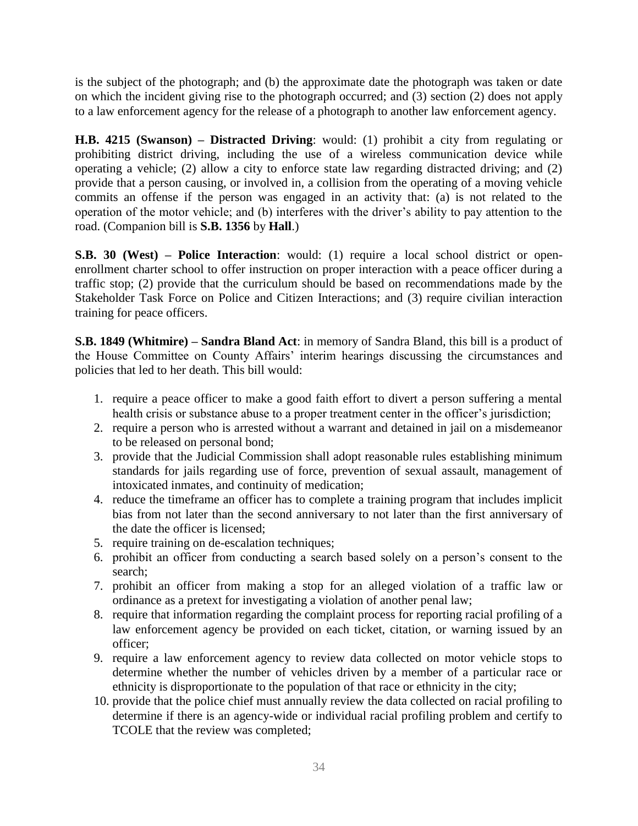is the subject of the photograph; and (b) the approximate date the photograph was taken or date on which the incident giving rise to the photograph occurred; and (3) section (2) does not apply to a law enforcement agency for the release of a photograph to another law enforcement agency.

**H.B. 4215 (Swanson) – Distracted Driving**: would: (1) prohibit a city from regulating or prohibiting district driving, including the use of a wireless communication device while operating a vehicle; (2) allow a city to enforce state law regarding distracted driving; and (2) provide that a person causing, or involved in, a collision from the operating of a moving vehicle commits an offense if the person was engaged in an activity that: (a) is not related to the operation of the motor vehicle; and (b) interferes with the driver's ability to pay attention to the road. (Companion bill is **S.B. 1356** by **Hall**.)

**S.B. 30 (West) – Police Interaction**: would: (1) require a local school district or openenrollment charter school to offer instruction on proper interaction with a peace officer during a traffic stop; (2) provide that the curriculum should be based on recommendations made by the Stakeholder Task Force on Police and Citizen Interactions; and (3) require civilian interaction training for peace officers.

**S.B. 1849 (Whitmire) – Sandra Bland Act**: in memory of Sandra Bland, this bill is a product of the House Committee on County Affairs' interim hearings discussing the circumstances and policies that led to her death. This bill would:

- 1. require a peace officer to make a good faith effort to divert a person suffering a mental health crisis or substance abuse to a proper treatment center in the officer's jurisdiction;
- 2. require a person who is arrested without a warrant and detained in jail on a misdemeanor to be released on personal bond;
- 3. provide that the Judicial Commission shall adopt reasonable rules establishing minimum standards for jails regarding use of force, prevention of sexual assault, management of intoxicated inmates, and continuity of medication;
- 4. reduce the timeframe an officer has to complete a training program that includes implicit bias from not later than the second anniversary to not later than the first anniversary of the date the officer is licensed;
- 5. require training on de-escalation techniques;
- 6. prohibit an officer from conducting a search based solely on a person's consent to the search;
- 7. prohibit an officer from making a stop for an alleged violation of a traffic law or ordinance as a pretext for investigating a violation of another penal law;
- 8. require that information regarding the complaint process for reporting racial profiling of a law enforcement agency be provided on each ticket, citation, or warning issued by an officer;
- 9. require a law enforcement agency to review data collected on motor vehicle stops to determine whether the number of vehicles driven by a member of a particular race or ethnicity is disproportionate to the population of that race or ethnicity in the city;
- 10. provide that the police chief must annually review the data collected on racial profiling to determine if there is an agency-wide or individual racial profiling problem and certify to TCOLE that the review was completed;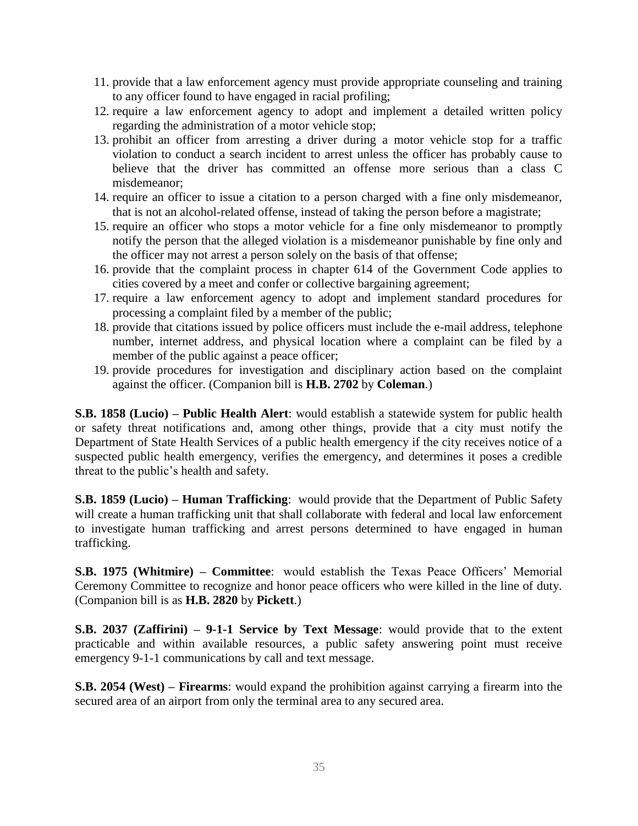- 11. provide that a law enforcement agency must provide appropriate counseling and training to any officer found to have engaged in racial profiling;
- 12. require a law enforcement agency to adopt and implement a detailed written policy regarding the administration of a motor vehicle stop;
- 13. prohibit an officer from arresting a driver during a motor vehicle stop for a traffic violation to conduct a search incident to arrest unless the officer has probably cause to believe that the driver has committed an offense more serious than a class C misdemeanor;
- 14. require an officer to issue a citation to a person charged with a fine only misdemeanor, that is not an alcohol-related offense, instead of taking the person before a magistrate;
- 15. require an officer who stops a motor vehicle for a fine only misdemeanor to promptly notify the person that the alleged violation is a misdemeanor punishable by fine only and the officer may not arrest a person solely on the basis of that offense;
- 16. provide that the complaint process in chapter 614 of the Government Code applies to cities covered by a meet and confer or collective bargaining agreement;
- 17. require a law enforcement agency to adopt and implement standard procedures for processing a complaint filed by a member of the public;
- 18. provide that citations issued by police officers must include the e-mail address, telephone number, internet address, and physical location where a complaint can be filed by a member of the public against a peace officer;
- 19. provide procedures for investigation and disciplinary action based on the complaint against the officer. (Companion bill is **H.B. 2702** by **Coleman**.)

**S.B. 1858 (Lucio) – Public Health Alert**: would establish a statewide system for public health or safety threat notifications and, among other things, provide that a city must notify the Department of State Health Services of a public health emergency if the city receives notice of a suspected public health emergency, verifies the emergency, and determines it poses a credible threat to the public's health and safety.

**S.B. 1859 (Lucio) – Human Trafficking**: would provide that the Department of Public Safety will create a human trafficking unit that shall collaborate with federal and local law enforcement to investigate human trafficking and arrest persons determined to have engaged in human trafficking.

**S.B. 1975 (Whitmire) – Committee**: would establish the Texas Peace Officers' Memorial Ceremony Committee to recognize and honor peace officers who were killed in the line of duty. (Companion bill is as **H.B. 2820** by **Pickett**.)

**S.B. 2037 (Zaffirini) – 9-1-1 Service by Text Message**: would provide that to the extent practicable and within available resources, a public safety answering point must receive emergency 9-1-1 communications by call and text message.

**S.B. 2054 (West) – Firearms**: would expand the prohibition against carrying a firearm into the secured area of an airport from only the terminal area to any secured area.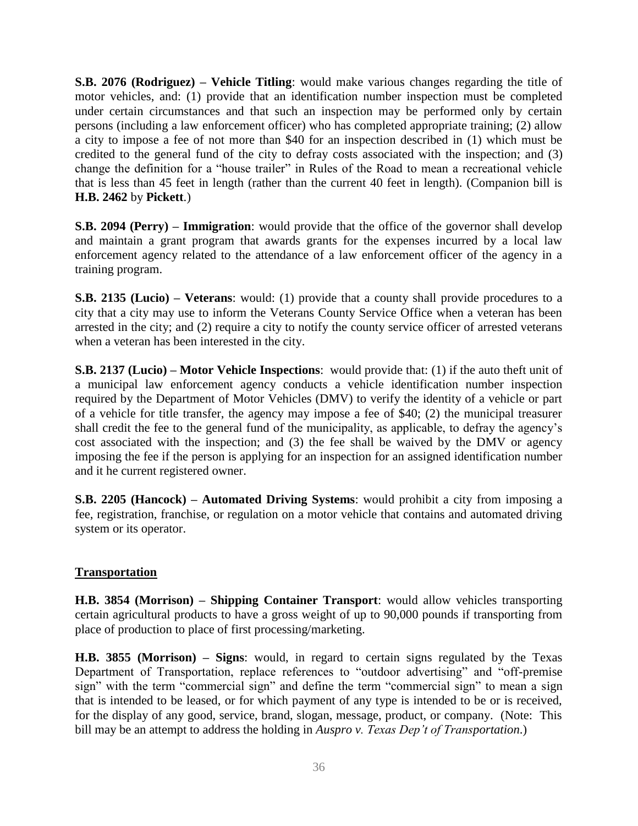**S.B. 2076 (Rodriguez) – Vehicle Titling**: would make various changes regarding the title of motor vehicles, and: (1) provide that an identification number inspection must be completed under certain circumstances and that such an inspection may be performed only by certain persons (including a law enforcement officer) who has completed appropriate training; (2) allow a city to impose a fee of not more than \$40 for an inspection described in (1) which must be credited to the general fund of the city to defray costs associated with the inspection; and (3) change the definition for a "house trailer" in Rules of the Road to mean a recreational vehicle that is less than 45 feet in length (rather than the current 40 feet in length). (Companion bill is **H.B. 2462** by **Pickett**.)

**S.B. 2094 (Perry) – Immigration**: would provide that the office of the governor shall develop and maintain a grant program that awards grants for the expenses incurred by a local law enforcement agency related to the attendance of a law enforcement officer of the agency in a training program.

**S.B. 2135 (Lucio) – Veterans**: would: (1) provide that a county shall provide procedures to a city that a city may use to inform the Veterans County Service Office when a veteran has been arrested in the city; and (2) require a city to notify the county service officer of arrested veterans when a veteran has been interested in the city.

**S.B. 2137 (Lucio) – Motor Vehicle Inspections**: would provide that: (1) if the auto theft unit of a municipal law enforcement agency conducts a vehicle identification number inspection required by the Department of Motor Vehicles (DMV) to verify the identity of a vehicle or part of a vehicle for title transfer, the agency may impose a fee of \$40; (2) the municipal treasurer shall credit the fee to the general fund of the municipality, as applicable, to defray the agency's cost associated with the inspection; and (3) the fee shall be waived by the DMV or agency imposing the fee if the person is applying for an inspection for an assigned identification number and it he current registered owner.

**S.B. 2205 (Hancock) – Automated Driving Systems**: would prohibit a city from imposing a fee, registration, franchise, or regulation on a motor vehicle that contains and automated driving system or its operator.

#### **Transportation**

**H.B. 3854 (Morrison) – Shipping Container Transport**: would allow vehicles transporting certain agricultural products to have a gross weight of up to 90,000 pounds if transporting from place of production to place of first processing/marketing.

**H.B. 3855 (Morrison) – Signs**: would, in regard to certain signs regulated by the Texas Department of Transportation, replace references to "outdoor advertising" and "off-premise sign" with the term "commercial sign" and define the term "commercial sign" to mean a sign that is intended to be leased, or for which payment of any type is intended to be or is received, for the display of any good, service, brand, slogan, message, product, or company. (Note: This bill may be an attempt to address the holding in *Auspro v. Texas Dep't of Transportation*.)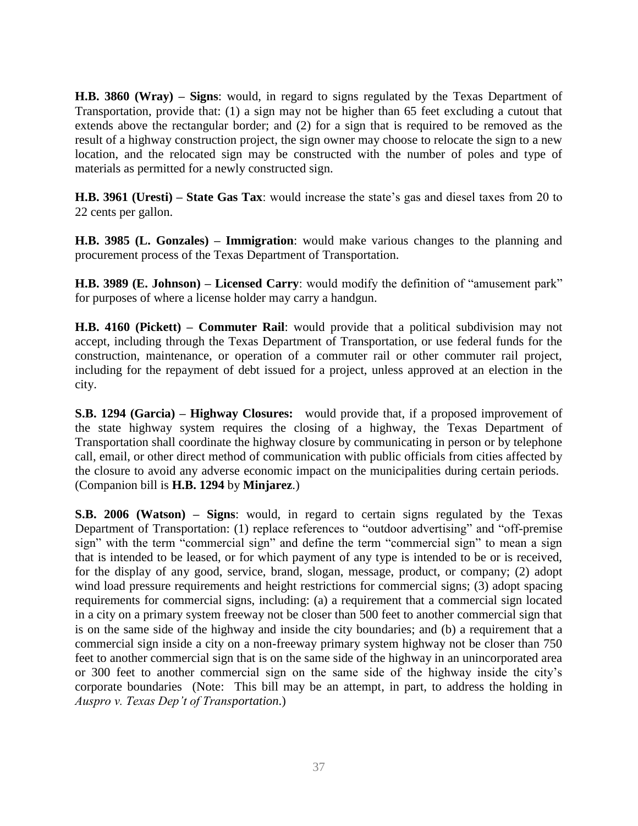**H.B. 3860 (Wray) – Signs**: would, in regard to signs regulated by the Texas Department of Transportation, provide that: (1) a sign may not be higher than 65 feet excluding a cutout that extends above the rectangular border; and (2) for a sign that is required to be removed as the result of a highway construction project, the sign owner may choose to relocate the sign to a new location, and the relocated sign may be constructed with the number of poles and type of materials as permitted for a newly constructed sign.

**H.B. 3961 (Uresti) – State Gas Tax**: would increase the state's gas and diesel taxes from 20 to 22 cents per gallon.

**H.B. 3985 (L. Gonzales) – Immigration**: would make various changes to the planning and procurement process of the Texas Department of Transportation.

**H.B. 3989 (E. Johnson) – Licensed Carry**: would modify the definition of "amusement park" for purposes of where a license holder may carry a handgun.

**H.B. 4160 (Pickett) – Commuter Rail**: would provide that a political subdivision may not accept, including through the Texas Department of Transportation, or use federal funds for the construction, maintenance, or operation of a commuter rail or other commuter rail project, including for the repayment of debt issued for a project, unless approved at an election in the city.

**S.B. 1294 (Garcia) – Highway Closures:** would provide that, if a proposed improvement of the state highway system requires the closing of a highway, the Texas Department of Transportation shall coordinate the highway closure by communicating in person or by telephone call, email, or other direct method of communication with public officials from cities affected by the closure to avoid any adverse economic impact on the municipalities during certain periods. (Companion bill is **H.B. 1294** by **Minjarez**.)

**S.B. 2006 (Watson) – Signs**: would, in regard to certain signs regulated by the Texas Department of Transportation: (1) replace references to "outdoor advertising" and "off-premise sign" with the term "commercial sign" and define the term "commercial sign" to mean a sign that is intended to be leased, or for which payment of any type is intended to be or is received, for the display of any good, service, brand, slogan, message, product, or company; (2) adopt wind load pressure requirements and height restrictions for commercial signs; (3) adopt spacing requirements for commercial signs, including: (a) a requirement that a commercial sign located in a city on a primary system freeway not be closer than 500 feet to another commercial sign that is on the same side of the highway and inside the city boundaries; and (b) a requirement that a commercial sign inside a city on a non-freeway primary system highway not be closer than 750 feet to another commercial sign that is on the same side of the highway in an unincorporated area or 300 feet to another commercial sign on the same side of the highway inside the city's corporate boundaries (Note: This bill may be an attempt, in part, to address the holding in *Auspro v. Texas Dep't of Transportation*.)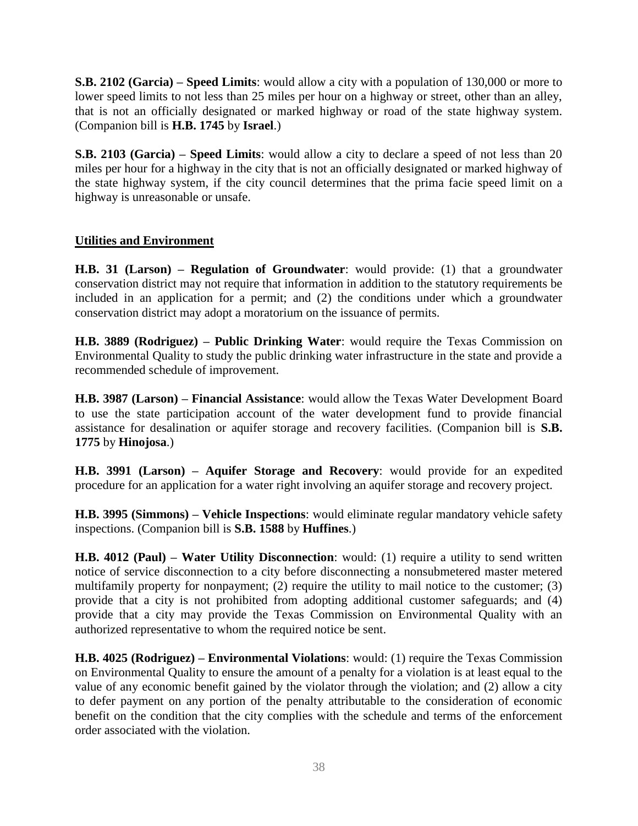**S.B. 2102 (Garcia) – Speed Limits**: would allow a city with a population of 130,000 or more to lower speed limits to not less than 25 miles per hour on a highway or street, other than an alley, that is not an officially designated or marked highway or road of the state highway system. (Companion bill is **H.B. 1745** by **Israel**.)

**S.B. 2103 (Garcia) – Speed Limits**: would allow a city to declare a speed of not less than 20 miles per hour for a highway in the city that is not an officially designated or marked highway of the state highway system, if the city council determines that the prima facie speed limit on a highway is unreasonable or unsafe.

#### **Utilities and Environment**

**H.B. 31 (Larson) – Regulation of Groundwater**: would provide: (1) that a groundwater conservation district may not require that information in addition to the statutory requirements be included in an application for a permit; and (2) the conditions under which a groundwater conservation district may adopt a moratorium on the issuance of permits.

**H.B. 3889 (Rodriguez) – Public Drinking Water**: would require the Texas Commission on Environmental Quality to study the public drinking water infrastructure in the state and provide a recommended schedule of improvement.

**H.B. 3987 (Larson) – Financial Assistance**: would allow the Texas Water Development Board to use the state participation account of the water development fund to provide financial assistance for desalination or aquifer storage and recovery facilities. (Companion bill is **S.B. 1775** by **Hinojosa**.)

**H.B. 3991 (Larson) – Aquifer Storage and Recovery**: would provide for an expedited procedure for an application for a water right involving an aquifer storage and recovery project.

**H.B. 3995 (Simmons) – Vehicle Inspections**: would eliminate regular mandatory vehicle safety inspections. (Companion bill is **S.B. 1588** by **Huffines**.)

**H.B. 4012 (Paul) – Water Utility Disconnection**: would: (1) require a utility to send written notice of service disconnection to a city before disconnecting a nonsubmetered master metered multifamily property for nonpayment; (2) require the utility to mail notice to the customer; (3) provide that a city is not prohibited from adopting additional customer safeguards; and (4) provide that a city may provide the Texas Commission on Environmental Quality with an authorized representative to whom the required notice be sent.

**H.B. 4025 (Rodriguez) – Environmental Violations**: would: (1) require the Texas Commission on Environmental Quality to ensure the amount of a penalty for a violation is at least equal to the value of any economic benefit gained by the violator through the violation; and (2) allow a city to defer payment on any portion of the penalty attributable to the consideration of economic benefit on the condition that the city complies with the schedule and terms of the enforcement order associated with the violation.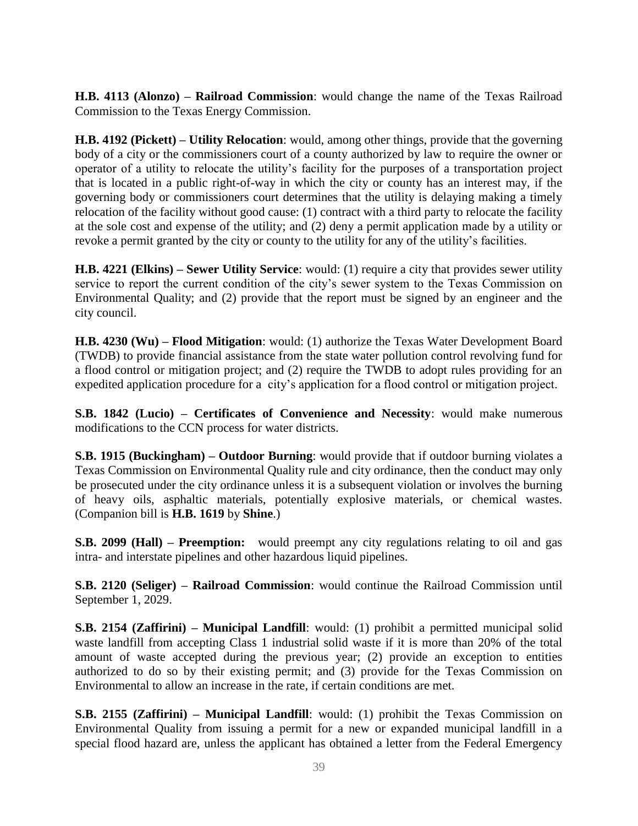**H.B. 4113 (Alonzo) – Railroad Commission**: would change the name of the Texas Railroad Commission to the Texas Energy Commission.

**H.B. 4192 (Pickett) – Utility Relocation**: would, among other things, provide that the governing body of a city or the commissioners court of a county authorized by law to require the owner or operator of a utility to relocate the utility's facility for the purposes of a transportation project that is located in a public right-of-way in which the city or county has an interest may, if the governing body or commissioners court determines that the utility is delaying making a timely relocation of the facility without good cause: (1) contract with a third party to relocate the facility at the sole cost and expense of the utility; and (2) deny a permit application made by a utility or revoke a permit granted by the city or county to the utility for any of the utility's facilities.

**H.B. 4221 (Elkins) – Sewer Utility Service**: would: (1) require a city that provides sewer utility service to report the current condition of the city's sewer system to the Texas Commission on Environmental Quality; and (2) provide that the report must be signed by an engineer and the city council.

**H.B. 4230 (Wu) – Flood Mitigation**: would: (1) authorize the Texas Water Development Board (TWDB) to provide financial assistance from the state water pollution control revolving fund for a flood control or mitigation project; and (2) require the TWDB to adopt rules providing for an expedited application procedure for a city's application for a flood control or mitigation project.

**S.B. 1842 (Lucio) – Certificates of Convenience and Necessity**: would make numerous modifications to the CCN process for water districts.

**S.B. 1915 (Buckingham) – Outdoor Burning**: would provide that if outdoor burning violates a Texas Commission on Environmental Quality rule and city ordinance, then the conduct may only be prosecuted under the city ordinance unless it is a subsequent violation or involves the burning of heavy oils, asphaltic materials, potentially explosive materials, or chemical wastes. (Companion bill is **H.B. 1619** by **Shine**.)

**S.B. 2099 (Hall) – Preemption:** would preempt any city regulations relating to oil and gas intra- and interstate pipelines and other hazardous liquid pipelines.

**S.B. 2120 (Seliger) – Railroad Commission**: would continue the Railroad Commission until September 1, 2029.

**S.B. 2154 (Zaffirini) – Municipal Landfill**: would: (1) prohibit a permitted municipal solid waste landfill from accepting Class 1 industrial solid waste if it is more than 20% of the total amount of waste accepted during the previous year; (2) provide an exception to entities authorized to do so by their existing permit; and (3) provide for the Texas Commission on Environmental to allow an increase in the rate, if certain conditions are met.

**S.B. 2155 (Zaffirini) – Municipal Landfill**: would: (1) prohibit the Texas Commission on Environmental Quality from issuing a permit for a new or expanded municipal landfill in a special flood hazard are, unless the applicant has obtained a letter from the Federal Emergency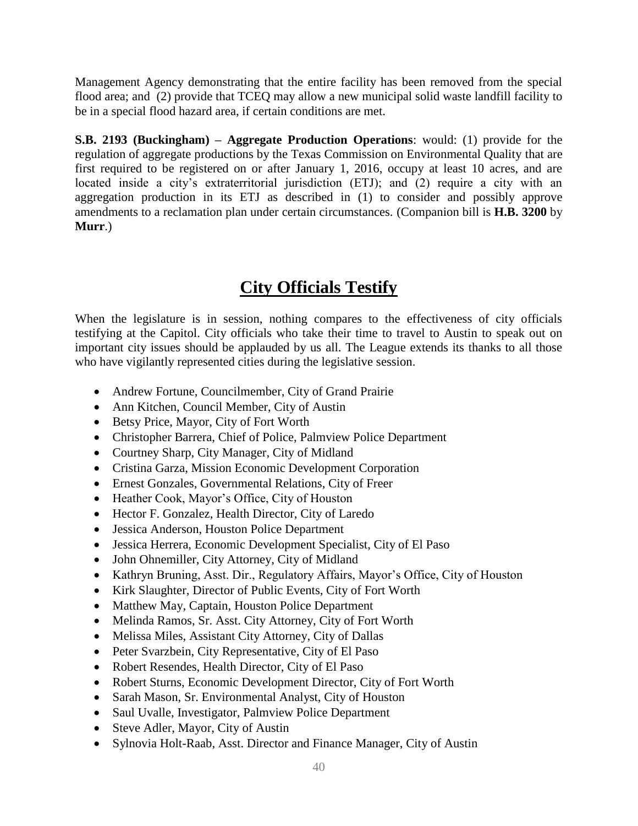Management Agency demonstrating that the entire facility has been removed from the special flood area; and (2) provide that TCEQ may allow a new municipal solid waste landfill facility to be in a special flood hazard area, if certain conditions are met.

**S.B. 2193 (Buckingham) – Aggregate Production Operations**: would: (1) provide for the regulation of aggregate productions by the Texas Commission on Environmental Quality that are first required to be registered on or after January 1, 2016, occupy at least 10 acres, and are located inside a city's extraterritorial jurisdiction (ETJ); and (2) require a city with an aggregation production in its ETJ as described in (1) to consider and possibly approve amendments to a reclamation plan under certain circumstances. (Companion bill is **H.B. 3200** by **Murr**.)

# **City Officials Testify**

When the legislature is in session, nothing compares to the effectiveness of city officials testifying at the Capitol. City officials who take their time to travel to Austin to speak out on important city issues should be applauded by us all. The League extends its thanks to all those who have vigilantly represented cities during the legislative session.

- Andrew Fortune, Councilmember, City of Grand Prairie
- Ann Kitchen, Council Member, City of Austin
- Betsy Price, Mayor, City of Fort Worth
- Christopher Barrera, Chief of Police, Palmview Police Department
- Courtney Sharp, City Manager, City of Midland
- Cristina Garza, Mission Economic Development Corporation
- Ernest Gonzales, Governmental Relations, City of Freer
- Heather Cook, Mayor's Office, City of Houston
- Hector F. Gonzalez, Health Director, City of Laredo
- Jessica Anderson, Houston Police Department
- Jessica Herrera, Economic Development Specialist, City of El Paso
- John Ohnemiller, City Attorney, City of Midland
- Kathryn Bruning, Asst. Dir., Regulatory Affairs, Mayor's Office, City of Houston
- Kirk Slaughter, Director of Public Events, City of Fort Worth
- Matthew May, Captain, Houston Police Department
- Melinda Ramos, Sr. Asst. City Attorney, City of Fort Worth
- Melissa Miles, Assistant City Attorney, City of Dallas
- Peter Svarzbein, City Representative, City of El Paso
- Robert Resendes, Health Director, City of El Paso
- Robert Sturns, Economic Development Director, City of Fort Worth
- Sarah Mason, Sr. Environmental Analyst, City of Houston
- Saul Uvalle, Investigator, Palmview Police Department
- Steve Adler, Mayor, City of Austin
- Sylnovia Holt-Raab, Asst. Director and Finance Manager, City of Austin